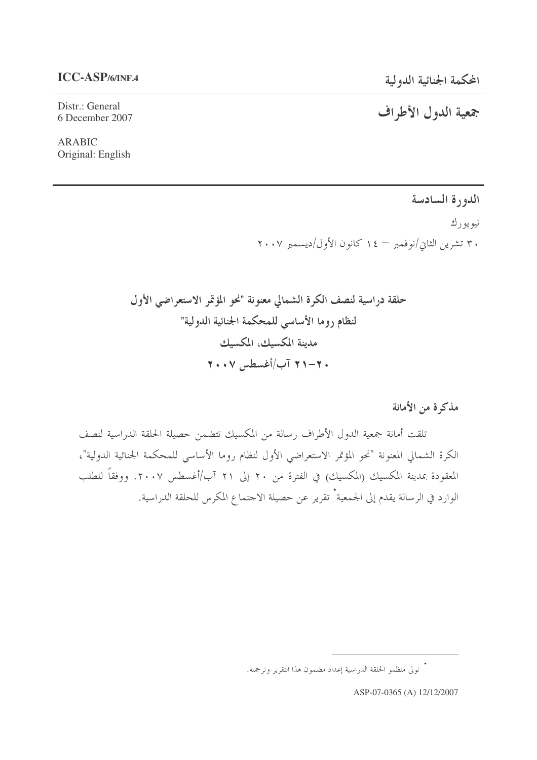جمعية الدول الأطراف

Distr.: General 6 December 2007

**ARABIC** Original: English

الدورة السادسة

نيو يو ر ك ٣٠ تشرين الثاني/نوفمبر = ١٤ كانون الأول/ديسمبر ٢٠٠٧

مذكرة من الأمانة

تلقت أمانة جمعية الدول الأطراف رسالة من المكسيك تتضمن حصيلة الحلقة الدراسية لنصف الكرة الشمالي المعنونة "نحو المؤتمر الاستعراضي الأول لنظام روما الأساسي للمحكمة الجنائية الدولية"، المعقودة بمدينة المكسيك (المكسيك) في الفترة من ٢٠ إلى ٢١ آب/أغسطس ٢٠٠٧. ووفقاً للطلب الوارد في الرسالة يقدم إلى الجمعية \* تقرير عن حصيلة الاجتماع المكرس للحلقة الدراسية.

<sup>\*</sup> تولى منظمو الحلقة الدراسية إعداد مضمون هذا التقرير وترجمته.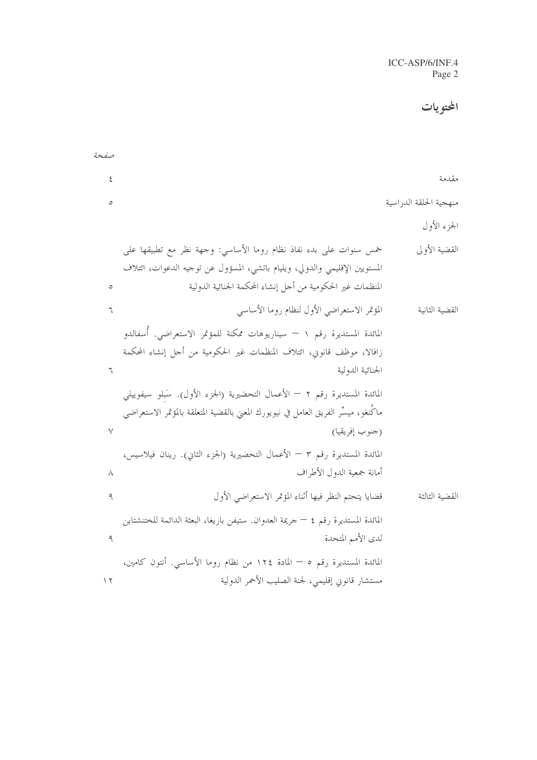جة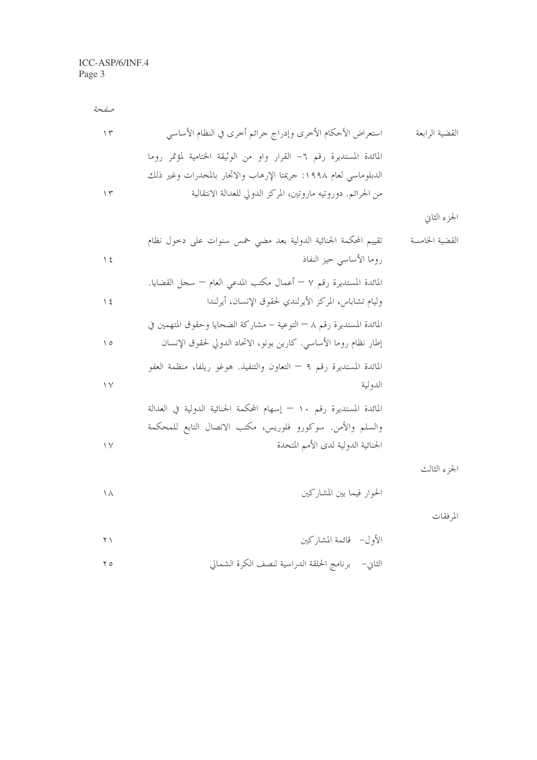صفحة

الجزء الثاني

المرفقات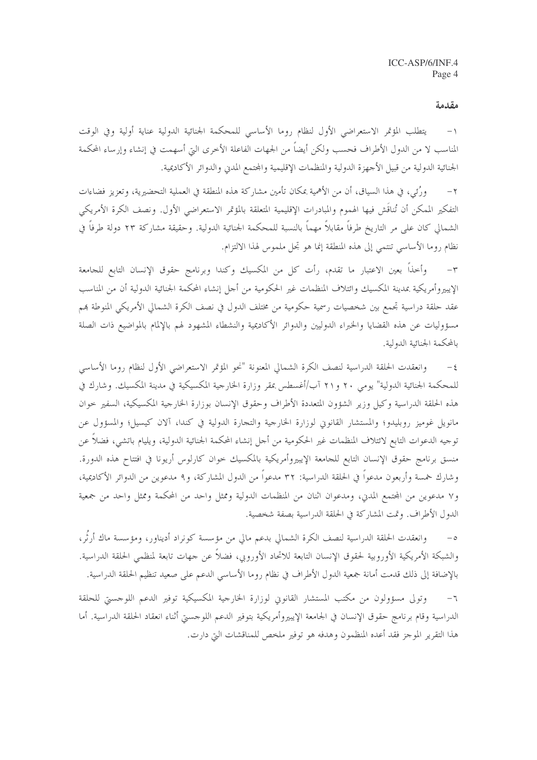#### مقدمة

يتطلب المؤتمر الاستعراضي الأول لنظام روما الأساسى للمحكمة الجنائية الدولية عناية أولية وفي الوقت  $-1$ المناسب لا من الدول الأطراف فحسب ولكن أيضاً من الجهات الفاعلة الأخرى التي أسهمت في إنشاء وإرساء المحكمة الجنائية الدولية من قبيل الأجهزة الدولية والمنظمات الإقليمية والمحتمع المدني والدوائر الأكاديمية.

ورُئي، في هذا السياق، أن من الأهمية بمكان تأمين مشاركة هذه المنطقة في العملية التحضيرية، وتعزيز فضاءات  $-\tau$ التفكير الممكن أن تُناقَش فيها الهموم والمبادرات الإقليمية المتعلقة بالمؤتمر الاستعراضي الأول. ونصف الكرة الأمريكي الشمالي كان على مر التاريخ طرفاً مقابلاً مهماً بالنسبة للمحكمة الجنائية الدولية. وحقيقة مشاركة ٢٣ دولة طرفاً في نظام روما الأساسي تنتمي إلى هذه المنطقة إنما هو تجل ملموس لهذا الالتزام.

وأخذاً بعين الاعتبار ما تقدم، رأت كل من المكسيك وكندا وبرنامج حقوق الإنسان التابع للجامعة  $-\tau$ الإيبيروأمريكية بمدينة المكسيك وائتلاف المنظمات غير الحكومية من أحل إنشاء المحكمة الجنائية الدولية أن من المناسب عقد حلقة دراسية تجمع بين شخصيات رسمية حكومية من مختلف الدول في نصف الكرة الشمالي الأمريكي المنوطة بمم مسؤوليات عن هذه القضايا والخبراء الدوليين والدوائر الأكاديمية والنشطاء المشهود لهم بالإلمام بالمواضيع ذات الصلة بالمحكمة الجنائية الدولية.

٤– وانعقدت الحلقة الدراسية لنصف الكرة الشمالي المعنونة "نحو المؤتمر الاستعراضي الأول لنظام روما الأساسي للمحكمة الجنائية الدولية" يومي ٢٠ و٢١ آب/أغسطس بمقر وزارة الخارجية المكسيكية في مدينة المكسيك. وشارك في هذه الحلقة الدراسية وكيل وزير الشؤون المتعددة الأطراف وحقوق الإنسان بوزارة الخارجية المكسيكية، السفير حوان مانويل غوميز روبليدو؛ والمستشار القانوين لوزارة الخارجية والتجارة الدولية في كندا، آلان كيسيل؛ والمسؤول عن توجيه الدعوات التابع لائتلاف المنظمات غير الحكومية من أجل إنشاء المحكمة الجنائية الدولية، ويليام باتشى، فضلاً عن منسق برنامج حقوق الإنسان التابع للجامعة الإيبيروأمريكية بالمكسيك حوان كارلوس أريونا في افتتاح هذه الدورة. وشارك خمسة وأربعون مدعواً في الحلقة الدراسية: ٣٢ مدعواً من الدول المشاركة، و٩ مدعوين من الدوائر الأكاديمية، و٧ مدعوين من المحتمع المدين، ومدعوان اثنان من المنظمات الدولية وممثل واحد من المحكمة وممثل واحد من جمعية الدول الأطراف. وتمت المشاركة في الحلقة الدراسية بصفة شخصية.

وانعقدت الحلقة الدراسية لنصف الكرة الشمالي بدعم مالي من مؤسسة كونراد أديناور، ومؤسسة ماك أرثَر،  $-\circ$ والشبكة الأمريكية الأوروبية لحقوق الإنسان التابعة للاتحاد الأوروبي، فضلاً عن جهات تابعة لمنظمى الحلقة الدراسية. بالإضافة إلى ذلك قدمت أمانة جمعية الدول الأطراف في نظام روما الأساسي الدعم على صعيد تنظيم الحلقة الدراسية.

وتولى مسؤولون من مكتب المستشار القانويي لوزارة الخارجية المكسيكية توفير الدعم اللوجستي للحلقة  $-\mathbf{1}$ الدراسية وقام برنامج حقوق الإنسان في الجامعة الإيبيروأمريكية بتوفير الدعم اللوحستي أثناء انعقاد الحلقة الدراسية. أما هذا التقرير الموجز فقد أعده المنظمون وهدفه هو توفير ملخص للمناقشات التي دارت.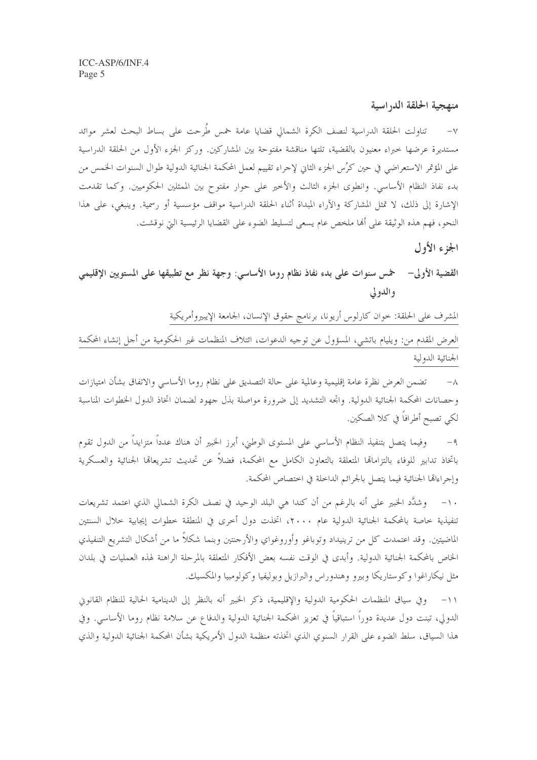منهجية الحلقة الدراسية

تناولت الحلقة الدراسية لنصف الكرة الشمالي قضايا عامة خمس طُرحت على بساط البحث لعشر موائد  $-\vee$ مستديرة عرضها خبراء معنيون بالقضية، تلتها مناقشة مفتوحة بين المشاركين. وركز الجزء الأول من الحلقة الدراسية على المؤتمر الاستعراضي في حين كرُس الجزء الثاني لإجراء تقييم لعمل المحكمة الجنائية الدولية طوال السنوات الخمس من بدء نفاذ النظام الأساسي. وانطوى الجزء الثالث والأخير على حوار مفتوح بين الممثلين الحكوميين. وكما تقدمت الإشارة إلى ذلك، لا تمثل المشاركة والآراء المبداة أثناء الحلقة الدراسية مواقف مؤسسية أو رسمية. وينبغي، على هذا النحو، فهم هذه الوثيقة على ألها ملخص عام يسعى لتسليط الضوء على القضايا الرئيسية التي نوقشت.

الجزء الأول

## القضية الأولى— ﴿ حْمَسٍ سنواتٍ على بدء نفاذٍ نظامٍ روما الأساسي: وجهة نظرٍ مع تطبيقها على المستويين الإقليمي والدولي

المشرف على الحلقة: خوان كارلوس أريونا، برنامج حقوق الإنسان، الجامعة الإيبيروأمريكية

العرض المقدم من: ويليام باتشي، المسؤول عن توجيه الدعوات، ائتلاف المنظمات غير الحكومية من أجل إنشاء المحكمة الجنائية الدولية

تضمن العرض نظرة عامة إقليمية وعالمية على حالة التصديق على نظام روما الأساسي والاتفاق بشأن امتيازات  $-\wedge$ وحصانات المحكمة الجنائية الدولية. واتجه التشديد إلى ضرورة مواصلة بذل جهود لضمان اتخاذ الدول الخطوات المناسبة لكي تصبح أطرافاً في كلا الصكين.

٩ – وفيما يتصل بتنفيذ النظام الأساسي على المستوى الوطني، أبرز الخبير أن هناك عدداً متزايداً من الدول تقوم باتخاذ تدابير للوفاء بالتزاماقما المتعلقة بالتعاون الكامل مع المحكمة، فضلاً عن تحديث تشريعاقما الجنائية والعسكرية وإجراءالها الجنائية فيما يتصل بالجرائم الداحلة في اختصاص المحكمة.

١٠– وشدَّد الخبير على أنه بالرغم من أن كندا هي البلد الوحيد في نصف الكرة الشمالي الذي اعتمد تشريعات تنفيذية حاصة بالمحكمة الجنائية الدولية عام ٢٠٠٠، اتخذت دول أحرى في المنطقة خطوات إيجابية حلال السنتين الماضيتين. وقد اعتمدت كل من ترينيداد وتوباغو وأوروغواي والأرحنتين وبنما شكلاً ما من أشكال التشريع التنفيذي الخاص بالمحكمة الجنائية الدولية. وأبدى في الوقت نفسه بعض الأفكار المتعلقة بالمرحلة الراهنة لهذه العمليات في بلدان مثل نيكاراغوا وكوستاريكا وبيرو وهندوراس والبرازيل وبوليفيا وكولومبيا والمكسيك.

١١– وفي سياق المنظمات الحكومية الدولية والإقليمية، ذكر الخبير أنه بالنظر إلى الدينامية الحالية للنظام القانوين الدولى، تبنت دول عديدة دوراً استباقياً في تعزيز المحكمة الجنائية الدولية والدفاع عن سلامة نظام روما الأساسي. وفي هذا السياق، سلط الضوء على القرار السنوى الذي اتخذته منظمة الدول الأمريكية بشأن المحكمة الجنائية الدولية والذي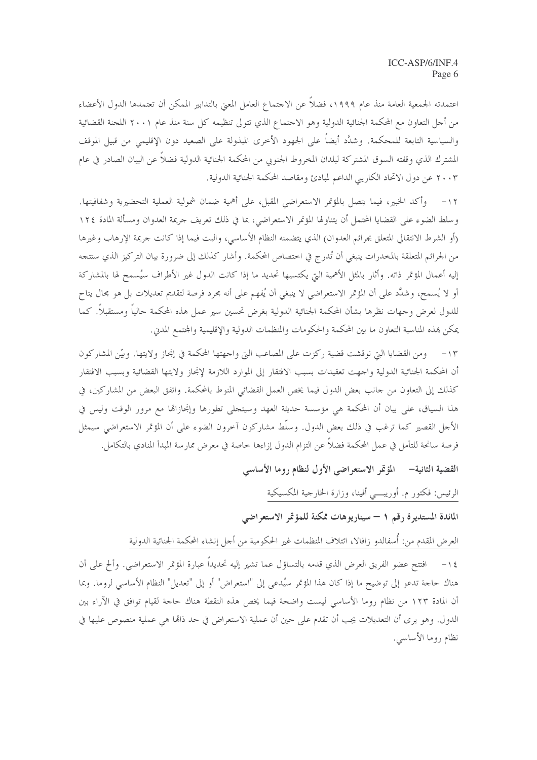اعتمدته الجمعية العامة منذ عام ١٩٩٩، فضلاً عن الاحتماع العامل المعنى بالتدابير الممكن أن تعتمدها الدول الأعضاء من أجل التعاون مع المحكمة الجنائية الدولية وهو الاحتماع الذي تتولى تنظيمه كل سنة منذ عام ٢٠٠١ اللجنة القضائية والسياسية التابعة للمحكمة. وشدَّد أيضاً على الجهود الأخرى المبذولة على الصعيد دون الإقليمي من قبيل الموقف المشترك الذي وقفته السوق المشتركة لبلدان المخروط الجنوبي من المحكمة الجنائية الدولية فضلاً عن البيان الصادر في عام ٢٠٠٣ عن دول الاتحاد الكاريبي الداعم لمبادئ ومقاصد المحكمة الجنائية الدولية.

١٢– وأكد الخبير، فيما يتصل بالمؤتمر الاستعراضي المقبل، على أهمية ضمان شمولية العملية التحضيرية وشفافيتها. وسلط الضوء على القضايا المحتمل أن يتناولها المؤتمر الاستعراضي، بما في ذلك تعريف جريمة العدوان ومسألة المادة ١٢٤ (أو الشرط الانتقالي المتعلق بجرائم العدوان) الذي يتضمنه النظام الأساسي، والبت فيما إذا كانت حريمة الإرهاب وغيرها من الجرائم المتعلقة بالمخدرات ينبغي أن تُدرج في اختصاص المحكمة. وأشار كذلك إلى ضرورة بيان التركيز الذي ستتجه إليه أعمال المؤتمر ذاته. وأثار بالمثل الأهمية التي يكتسيها تحديد ما إذا كانت الدول غير الأطراف سيُسمح لها بالمشاركة أو لا يُسمح، وشدَّد على أن المؤتمر الاستعراضي لا ينبغي أن يُفهم على أنه مجرد فرصة لتقديم تعديلات بل هو مجال يتاح للدول لعرض وحهات نظرها بشأن المحكمة الجنائية الدولية بغرض تحسين سير عمل هذه المحكمة حالياً ومستقبلاً. كما يمكن بهذه المناسبة التعاون ما بين المحكمة والحكومات والمنظمات الدولية والإقليمية والمحتمع المدبي.

١٣- ومن القضايا التي نوقشت قضية ركزت على المصاعب التي واحهتها المحكمة في إنجاز ولايتها. وبيّن المشاركون أن المحكمة الجنائية الدولية واجمهت تعقيدات بسبب الافتقار إلى الموارد اللازمة لإنجاز ولايتها القضائية وبسبب الافتقار كذلك إلى التعاون من حانب بعض الدول فيما يخص العمل القضائي المنوط بالمحكمة. واتفق البعض من المشاركين، في هذا السياق، على بيان أن المحكمة هي مؤسسة حديثة العهد وسيتجلى تطورها وإنجازالها مع مرور الوقت وليس في الأجل القصير كما ترغب في ذلك بعض الدول. وسلَّط مشاركون آخرون الضوء على أن المؤتمر الاستعراضي سيمثل فرصة سانحة للتأمل في عمل المحكمة فضلاً عن التزام الدول إزاءها خاصة في معرض ممارسة المبدأ المنادي بالتكامل.

القضية الثانية— المؤتمر الاستعراضي الأول لنظام روما الأساسي

الرئيس: فكتور م. أوريبـــي أفينا، وزارة الخارجية المكسيكية

## المائدة المستديرة رقم ١ – سيناريوهات ممكنة للمؤتمر الاستعراضي

العرض المقدم من: أُسفالدو زافالا، ائتلاف المنظمات غير الحكومية من أحل إنشاء المحكمة الجنائية الدولية

١٤ – افتتح عضو الفريق العرض الذي قدمه بالتساؤل عما تشير إليه تحديداً عبارة المؤتمر الاستعراضي. وألح على أن هناك حاجة تدعو إلى توضيح ما إذا كان هذا المؤتمر سيُدعى إلى "استعراض" أو إلى "تعديل" النظام الأساسي لروما. وبما أن المادة ١٢٣ من نظام روما الأساسي ليست واضحة فيما يخص هذه النقطة هناك حاجة لقيام توافق في الآراء بين الدول. وهو يرى أن التعديلات يجب أن تقدم على حين أن عملية الاستعراض في حد ذاتما هي عملية منصوص عليها في نظام روما الأساسي.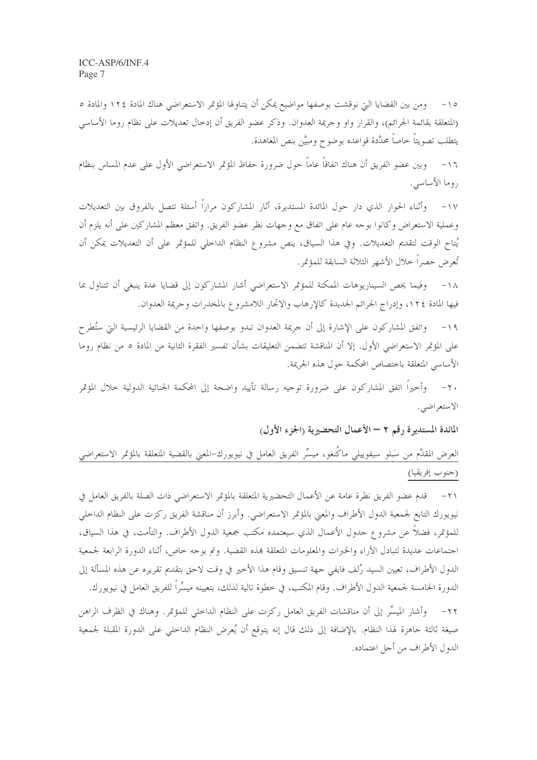١٥– ومن بين القضايا التي نوقشت بوصفها مواضيع يمكن أن يتناولها المؤتمر الاستعراضي هناك المادة ١٢٤ والمادة ٥ (المتعلقة بقائمة الجرائم)، والقرار واو وجريمة العدوان. وذكر عضو الفريق أن إدخال تعديلات على نظام روما الأساسي يتطلب تصويتاً حاصاً محدَّدة قواعده بوضوح ومبيَّن بنص المعاهدة.

١٦ – وبين عضو الفريق أن هناك اتفاقاً عاماً حول ضرورة حفاظ المؤتمر الاستعراضي الأول على عدم المساس بنظام روما الأساسي.

١٧– وأثناء الحوار الذي دار حول المائدة المستديرة، أثار المشاركون مراراً أسئلة تتصل بالفروق بين التعديلات وعملية الاستعراض وكانوا بوجه عام على اتفاق مع وجهات نظر عضو الفريق. واتفق معظم المشاركين على أنه يلزم أن يُتاح الوقت لتقديم التعديلات. وفي هذا السياق، ينص مشروع النظام الداخلي للمؤتمر على أن التعديلات يمكن أن تُعرض حصراً حلال الأشهر الثلاثة السابقة للمؤتمر.

١٨− وفيما يخص السيناريوهات المكنة للمؤتمر الاستعراضي أشار المشاركون إلى قضايا عدة ينبغي أن تتناول بما فيها المادة ١٢٤، وإدراج الجرائم الجديدة كالإرهاب والاتحار اللامشروع بالمخدرات وحريمة العدوان.

١٩ – واتفق المشاركون على الإشارة إلى أن حريمة العدوان تبدو بوصفها واحدة من القضايا الرئيسية التي ستُطرح على المؤتمر الاستعراضي الأول. إلا أن المناقشة تتضمن التعليقات بشأن تفسير الفقرة الثانية من المادة ٥ من نظام روما الأساسي المتعلقة باختصاص المحكمة حول هذه الجريمة.

٢٠– وأخيراً اتفق المشاركون على ضرورة توحيه رسالة تأييد واضحة إلى المحكمة الجنائية الدولية خلال المؤتمر الاستعراضي.

المائدة المستديرة رقم ٢ – الأعمال التحضيرية (الجزء الأول)

العرض المقدَّم من سَبلو سيفوييلي ماكُنغو، ميسِّر الفريق العامل في نيويورك–المعني بالقضية المتعلقة بالمؤتمر الاستعراضي (جنوب إفريقيا)

٢١ – قدم عضو الفريق نظرة عامة عن الأعمال التحضيرية المتعلقة بالمؤتمر الاستعراضي ذات الصلة بالفريق العامل في نيويورك التابع لجمعية الدول الأطراف والمعنى بالمؤتمر الاستعراضي. وأبرز أن مناقشة الفريق ركزت على النظام الداخلي للمؤتمر، فضلاً عن مشروع جدول الأعمال الذي سيعتمده مكتب جمعية الدول الأطراف. والتأمت، في هذا السياق، اجتماعات عديدة لتبادل الآراء والخبرات والمعلومات المتعلقة بمذه القضية. وتم بوجه خاص، أثناء الدورة الرابعة لجمعية الدول الأطراف، تعيين السيد رُلف فايفي جهة تنسيق وقام هذا الأخير في وقت لاحق بتقديم تقريره عن هذه المسألة إلى الدورة الخامسة لجمعية الدول الأطراف. وقام المكتب، في خطوة تالية لذلك، بتعيينه ميسِّراً للفريق العامل في نيويورك.

٢٢– وأشار الميسِّر إلى أن مناقشات الفريق العامل ركزت على النظام الداخلي للمؤتمر . وهناك في الظرف الراهن صيغة ثالثة جاهزة لهذا النظام. بالإضافة إلى ذلك قال إنه يتوقع أن يُعرض النظام الداحلي على الدورة المقبلة لجمعية الدول الأطراف من أجل اعتماده.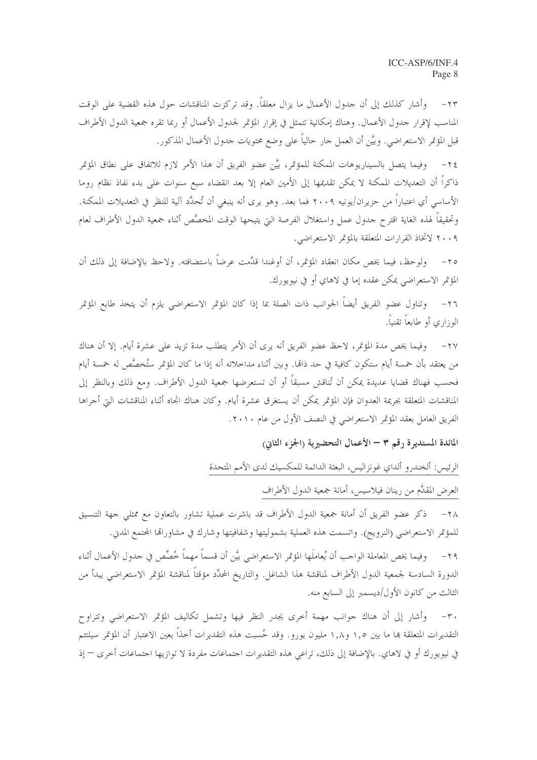٢٣ – وأشار كذلك إلى أن جدول الأعمال ما يزال معلقاً. وقد تركزت المناقشات حول هذه القضية على الوقت المناسب لإقرار حدول الأعمال. وهناك إمكانية تتمثل في إقرار المؤتمر لجدول الأعمال أو ربما تقره جمعية الدول الأطراف قبل المؤتمر الاستعراضي. وبيَّن أن العمل حار حالياً على وضع محتويات حدول الأعمال المذكور.

٢٤- وفيما يتصل بالسيناريوهات الممكنة للمؤتمر، بيَّن عضو الفريق أن هذا الأمر لازم للاتفاق على نطاق المؤتمر ذاكراً أن التعديلات الممكنة لا يمكن تقديمها إلى الأمين العام إلا بعد انقضاء سبع سنوات على بدء نفاذ نظام روما الأساسي أي اعتباراً من حزيران/يونيه ٢٠٠٩ فما بعد. وهو يرى أنه ينبغي أن تُحدَّد آلية للنظر في التعديلات الممكنة. وتحقيقاً لهذه الغاية اقترح حدول عمل واستغلال الفرصة التي يتيحها الوقت المخصَّص أثناء جمعية الدول الأطراف لعام ٢٠٠٩ لاتخاذ القرارات المتعلقة بالمؤتمر الاستعراضي.

٢٥– ولوحظ، فيما يخص مكان انعقاد المؤتمر، أن أوغندا قدَّمت عرضاً باستضافته. ولاحظ بالإضافة إلى ذلك أن المؤتمر الاستعراضي يمكن عقده إما في لاهاي أو في نيويورك.

٢٦– وتناول عضو الفريق أيضاً الجوانب ذات الصلة بما إذا كان المؤتمر الاستعراضي يلزم أن يتخذ طابع المؤتمر الوزاري أو طابعاً تقنياً.

٢٧– وفيما يخص مدة المؤتمر، لاحظ عضو الفريق أنه يرى أن الأمر يتطلب مدة تزيد على عشرة أيام. إلا أن هناك من يعتقد بأن خمسة أيام ستكون كافية في حد ذاتما. وبين أثناء مداحلاته أنه إذا ما كان المؤتمر ستُخصَّص له خمسة أيام فحسب فهناك قضايا عديدة يمكن أن تُناقش مسبقاً أو أن تستعرضها جمعية الدول الأطراف. ومع ذلك وبالنظر إلى المناقشات المتعلقة بجريمة العدوان فإن المؤتمر يمكن أن يستغرق عشرة أيام. وكان هناك اتجاه أثناء المناقشات التي أحراها الفريق العامل بعقد المؤتمر الاستعراضي في النصف الأول من عام ٢٠١٠.

المائدة المستديرة رقم ٣ – الأعمال التحضيرية (الجزء الثاني)

الرئيس: ألخندرو ألداي غونزاليس، البعثة الدائمة للمكسيك لدى الأمم المتحدة

العرض المقدَّم من رينان فيلاسيس، أمانة جمعية الدول الأطراف

٢٨– ذكر عضو الفريق أن أمانة جمعية الدول الأطراف قد باشرت عملية تشاور بالتعاون مع ممثلي جهة التنسيق للمؤتمر الاستعراضي (النرويج). واتسمت هذه العملية بشموليتها وشفافيتها وشارك في مشاورالها المحتمع المدني.

٢٩- وفيما يخص المعاملة الواحب أن يُعاملَها المؤتمر الاستعراضي بيَّن أن قسماً مهماً خُصِّص في حدول الأعمال أثناء الدورة السادسة لجمعية الدول الأطراف لمناقشة هذا الشاغل. والتاريخ المحدَّد مؤقتاً لمناقشة المؤتمر الاستعراضي يبدأ من الثالث من كانون الأول/ديسمبر إلى السابع منه.

٣٠- وأشار إلى أن هناك حوانب مهمة أخرى يجدر النظر فيها وتشمل تكاليف المؤتمر الاستعراضي وتتراوح التقديرات المتعلقة بما ما بين ١,٥ و١,٨ مليون يورو. وقد حُسبت هذه التقديرات أحذاً بعين الاعتبار أن المؤتمر سيلتئم في نيويورك أو في لاهاي. بالإضافة إلى ذلك، تراعي هذه التقديرات اجتماعات مفردة لا توازيها اجتماعات أخرى — إذ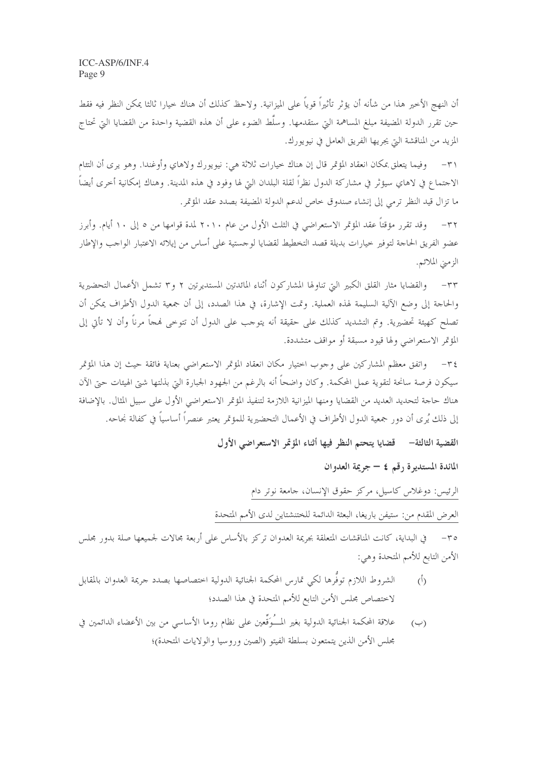أن النهج الأخير هذا من شأنه أن يؤثر تأثيراً قوياً على الميزانية. ولاحظ كذلك أن هناك خيارا ثالثا يمكن النظر فيه فقط حين تقرر الدولة المضيفة مبلغ المساهمة التي ستقدمها. وسلَّط الضوءِ على أن هذه القضية واحدة من القضايا التي تحتاج المزيد من المناقشة التي يجريها الفريق العامل في نيويورك.

٣١ – وفيما يتعلق بمكان انعقاد المؤتمر قال إن هناك حيارات ثلاثة هي: نيويورك ولاهاي وأوغندا. وهو يرى أن التئام الاحتماع في لاهاي سيؤثر في مشاركة الدول نظراً لقلة البلدان التي لها وفود في هذه المدينة. وهناك إمكانية أحرى أيضاً ما تزال قيد النظر ترمي إلى إنشاء صندوق حاص لدعم الدولة المضيفة بصدد عقد المؤتمر.

٣٢– وقد تقرر مؤقتاً عقد المؤتمر الاستعراضي في الثلث الأول من عام ٢٠١٠ لمدة قوامها من ٥ إلى ١٠ أيام. وأبرز عضو الفريق الحاجة لتوفير خيارات بديلة قصد التخطيط لقضايا لوجستية على أساس من إيلائه الاعتبار الواجب والإطار الزمني الملائم.

٣٣– والقضايا مثار القلق الكبير التي تناولها المشاركون أثناء المائدتين المستديرتين ٢ و٣ تشمل الأعمال التحضيرية والحاجة إلى وضع الآلية السليمة لهذه العملية. وتمت الإشارة، في هذا الصدد، إلى أن جمعية الدول الأطراف يمكن أن تصلح كهيئة تحضيرية. وتم التشديد كذلك على حقيقة أنه يتوجب على الدول أن تتوحى فمجاً مرناً وأن لا تأتي إلى المؤتمر الاستعراضي ولها قيود مسبقة أو مواقف متشددة.

٣٤- واتفق معظم المشاركين على وجوب اختيار مكان انعقاد المؤتمر الاستعراضي بعناية فائقة حيث إن هذا المؤتمر سيكون فرصة سانحة لتقوية عمل المحكمة. وكان واضحاً أنه بالرغم من الجهود الجبارة التي بذلتها شتى الهيئات حتى الآن هناك حاجة لتحديد العديد من القضايا ومنها الميزانية اللازمة لتنفيذ المؤتمر الاستعراضي الأول على سبيل المثال. بالإضافة إلى ذلك يُرى أن دور جمعية الدول الأطراف في الأعمال التحضيرية للمؤتمر يعتبر عنصراً أساسياً في كفالة نجاحه.

القضية الثالثة- فضايا يتحتم النظر فيها أثناء المؤتمر الاستعراضي الأول

المائدة المستديرة رقم ٤ - جريمة العدوان

الرئيس: دوغلاس كاسيل، مركز حقوق الإنسان، جامعة نوتر دام

العرض المقدم من: ستيفن باريغا، البعثة الدائمة للختنشتاين لدى الأمم المتحدة

٣٥– في البداية، كانت المناقشات المتعلقة بجريمة العدوان تركز بالأساس على أربعة مجالات لجميعها صلة بدور مجلس الأمن التابع للأمم المتحدة وهي:

- الشروط اللازم توفُّرها لكي تمارس المحكمة الجنائية الدولية اختصاصها بصدد جريمة العدوان بالمقابل  $\langle \hat{D} \rangle$ لاختصاص مجلس الأمن التابع للأمم المتحدة في هذا الصدد؛
- علاقة المحكمة الجنائية الدولية بغير المــُـوَقِّعين على نظام روما الأساسى من بين الأعضاء الدائمين في  $(\overline{\phantom{0}})$ مجلس الأمن الذين يتمتعون بسلطة الفيتو (الصين وروسيا والولايات المتحدة)؛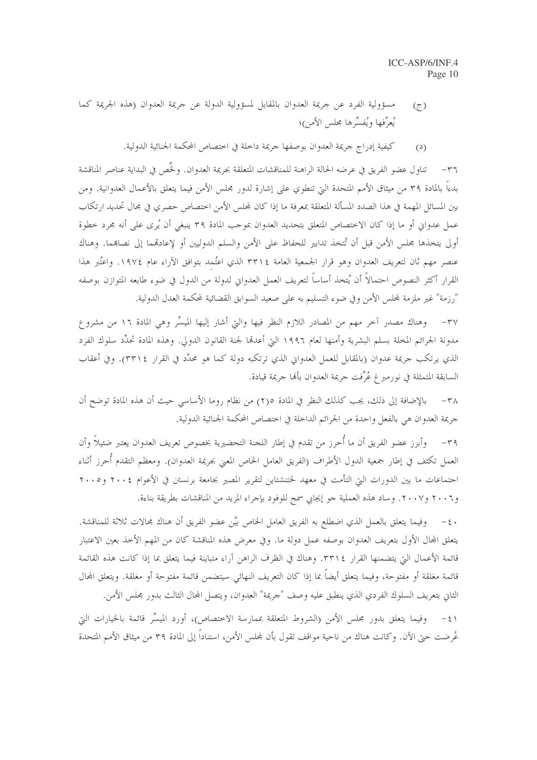- مسؤولية الفرد عن جريمة العدوان بالمقابل لمسؤولية الدولة عن جريمة العدوان (هذه الجريمة كما  $(7)$ يُعرِّفها ويُفسِّرها مجلس الأمن)؛
	- كيفية إدراج جريمة العدوان بوصفها جريمة داخلة في اختصاص المحكمة الجنائية الدولية.  $(2)$

تناول عضو الفريق في عرضه الحالة الراهنة للمناقشات المتعلقة بجريمة العدوان. ولخَّص في البداية عناصر المناقشة  $-\tau$ بدءاً بالمادة ٣٩ من ميثاق الأمم المتحدة التي تنطوي على إشارة لدور مجلس الأمن فيما يتعلق بالأعمال العدوانية. ومن بين المسائل المهمة في هذا الصدد المسألة المتعلقة بمعرفة ما إذا كان لمحلس الأمن اختصاص حصري في مجال تحديد ارتكاب عمل عدواني أو ما إذا كان الاختصاص المتعلق بتحديد العدوان بموجب المادة ٣٩ ينبغي أن يُرى على أنه مجرد خطوة أولى يتخذها مجلس الأمن قبل أن تُتخذ تدابير للحفاظ على الأمن والسلم الدوليين أو لإعادقما إلى نصاهما. وهناك عنصر مهم ثان لتعريف العدوان وهو قرار الجمعية العامة ٣٣١٤ الذي اعتُمد بتوافق الآراء عام ١٩٧٤. واعتُبر هذا القرار أكثر النصوص احتمالاً أن يُتخذ أساساً لتعريف العمل العدواني لدولة من الدول في ضوء طابعه المتوازن بوصفه "رزمة" غير ملزمة لمحلس الأمن وفي ضوء التسليم به على صعيد السوابق القضائية لمحكمة العدل الدولية.

٣٧- وهناك مصدر آخر مهم من المصادر اللازم النظر فيها والتي أشار إليها الميسِّر وهي المادة ١٦ من مشروع مدونة الجرائم المخلة بسلم البشرية وأمنها لعام ١٩٩٦ التي أعدها لجنة القانون الدولي. وهذه المادة تحدِّد سلوك الفرد الذي يرتكب حريمة عدوان (بالمقابل للعمل العدواني الذي ترتكبه دولة كما هو محدَّد في القرار ٣٣١٤). وفي أعقاب السابقة المتمثلة في نورمبرغ عُرِّفت حريمة العدوان بألها حريمة قيادة.

بالإضافة إلى ذلك، يجب كذلك النظر في المادة ٢)0 من نظام روما الأساسي حيث أن هذه المادة توضح أن  $-\tau \wedge$ جريمة العدوان هي بالفعل واحدة من الجرائم الداخلة في اختصاص المحكمة الجنائية الدولية.

٣٩- وأبرز عضو الفريق أن ما أُحرز من تقدم في إطار اللجنة التحضيرية بخصوص تعريف العدوان يعتبر ضئيلاً وأن العمل تكثف في إطار جمعية الدول الأطراف (الفريق العامل الخاص المعنى بجريمة العدوان). ومعظم التقدم أحرز أثناء اجتماعات ما بين الدورات التي التأمت في معهد لختنشتاين لتقرير المصير بجامعة برنستن في الأعوام ٢٠٠٤ و٢٠٠٥ و٢٠٠٦ و٢٠٠٧. وساد هذه العملية حو إيجابي سمح للوفود بإحراء المزيد من المناقشات بطريقة بناءة.

وفيما يتعلق بالعمل الذي اضطلع به الفريق العامل الخاص بيَّن عضو الفريق أن هناك مجالات ثلاثة للمناقشة.  $-\xi$ يتعلق المحال الأول بتعريف العدوان بوصفه عمل دولة ما. وفي معرض هذه المناقشة كان من المهم الأخذ بعين الاعتبار قائمة الأعمال التي يتضمنها القرار ٣٣١٤. وهناك في الظرف الراهن آراء متباينة فيما يتعلق بما إذا كانت هذه القائمة قائمة مغلقة أو مفتوحة، وفيما يتعلق أيضاً بما إذا كان التعريف النهائي سيتضمن قائمة مفتوحة أو مغلقة. ويتعلق المحال الثاني بتعريف السلوك الفردي الذي ينطبق عليه وصف "جريمة" العدوان، ويتصل المحال الثالث بدور مجلس الأمن.

٤١ – وفيما يتعلق بدور مجلس الأمن (الشروط المتعلقة بممارسة الاختصاص)، أورد الميسِّر قائمة بالخيارات البيّ عُرضت حيّ الآن. وكانت هناك من ناحية مواقف تقول بأن لمجلس الأمن، استناداً إلى المادة ٣٩ من ميثاق الأمم المتحدة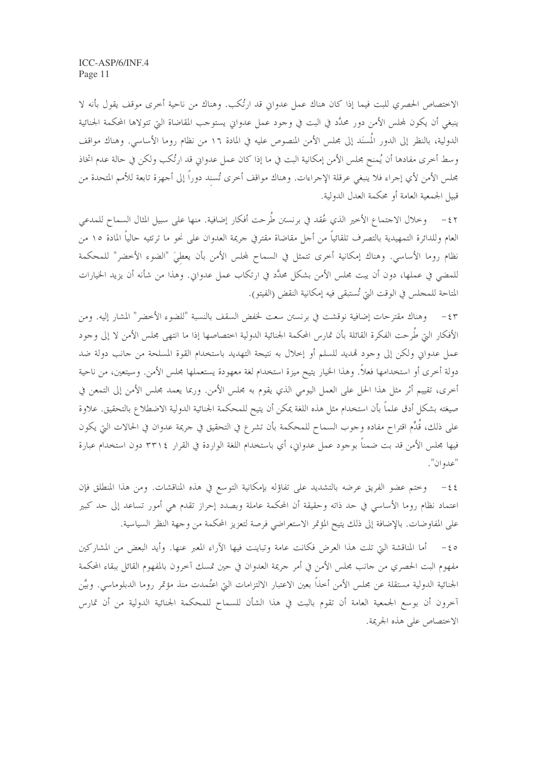الاختصاص الحصري للبت فيما إذا كان هناك عمل عدواين قد ارتُكب. وهناك من ناحية أخرى موقف يقول بأنه لا ينبغي أن يكون لمحلس الأمن دور محدَّد في البت في وجود عمل عدواني يستوجب المقاضاة التي تتولاها المحكمة الجنائية الدولية، بالنظر إلى الدور المُسنَد إلى مجلس الأمن المنصوص عليه في المادة ١٦ من نظام روما الأساسي. وهناك مواقف وسط أخرى مفادها أن يُمنح مجلس الأمن إمكانية البت في ما إذا كان عمل عدواين قد ارتُكب ولكن في حالة عدم اتخاذ مجلس الأمن لأي إحراء فلا ينبغي عرقلة الإجراءات. وهناك مواقف أخرى تُسند دوراً إلى أجهزة تابعة للأمم المتحدة من قبيل الجمعية العامة أو محكمة العدل الدولية.

٤٢ - وخلال الاجتماع الأخير الذي عُقد في برنستن طُرحت أفكار إضافية. منها على سبيل المثال السماح للمدعى العام وللدائرة التمهيدية بالتصرف تلقائياً من أحل مقاضاة مقترفي جريمة العدوان على نحو ما ترتئيه حالياً المادة ١٥ من نظام روما الأساسي. وهناك إمكانية أخرى تتمثل في السماح لمحلس الأمن بأن يعطيَ "الضوء الأخضر" للمحكمة للمضي في عملها، دون أن يبت مجلس الأمن بشكل محدَّد في ارتكاب عمل عدواين. وهذا من شأنه أن يزيد الخيارات المتاحة للمحلس في الوقت التي تُستبقى فيه إمكانية النقض (الفيتو).

٤٣ - وهناك مقترحات إضافية نوقشت في برنستن سعت لخفض السقف بالنسبة "للضوء الأخضر" المشار إليه. ومن الأفكار التي طُرحت الفكرة القائلة بأن تمارس المحكمة الجنائية الدولية اختصاصها إذا ما انتهى مجلس الأمن لا إلى وجود عمل عدواني ولكن إلى وجود قمديد للسلم أو إحلال به نتيجة التهديد باستخدام القوة المسلحة من جانب دولة ضد دولة أخرى أو استخدامها فعلاً. وهذا الخيار يتيح ميزة استخدام لغة معهودة يستعملها مجلس الأمن. وسيتعين، من ناحية أخرى، تقييم أثر مثل هذا الحل على العمل اليومي الذي يقوم به مجلس الأمن. وربما يعمد مجلس الأمن إلى التمعن في صيغته بشكل أدق علماً بأن استخدام مثل هذه اللغة يمكن أن يتيح للمحكمة الجنائية الدولية الاضطلاع بالتحقيق. علاوة على ذلك، قُلُّم اقتراح مفاده وحوب السماح للمحكمة بأن تشرع في التحقيق في حريمة عدوان في الحالات التي يكون فيها مجلس الأمن قد بت ضمناً بوجود عمل عدواين، أي باستخدام اللغة الواردة في القرار ٣٣١٤ دون استخدام عبارة "عدوان".

٤٤- وحتم عضو الفريق عرضه بالتشديد على تفاؤله بإمكانية التوسع في هذه المناقشات. ومن هذا المنطلق فإن اعتماد نظام روما الأساسي في حد ذاته وحقيقة أن المحكمة عاملة وبصدد إحراز تقدم هي أمور تساعد إلى حد كبير على المفاوضات. بالإضافة إلى ذلك يتيح المؤتمر الاستعراضي فرصة لتعزيز المحكمة من وجهة النظر السياسية.

مفهوم البت الحصري من حانب مجلس الأمن في أمر حريمة العدوان في حين تمسك آخرون بالمفهوم القائل ببقاء المحكمة الجنائية الدولية مستقلة عن مجلس الأمن أخذاً بعين الاعتبار الالتزامات التي اعتُمدت منذ مؤتمر روما الدبلوماسي. وبيَّن آخرون أن بوسع الجمعية العامة أن تقوم بالبت في هذا الشأن للسماح للمحكمة الجنائية الدولية من أن تمارس الاختصاص على هذه الجريمة.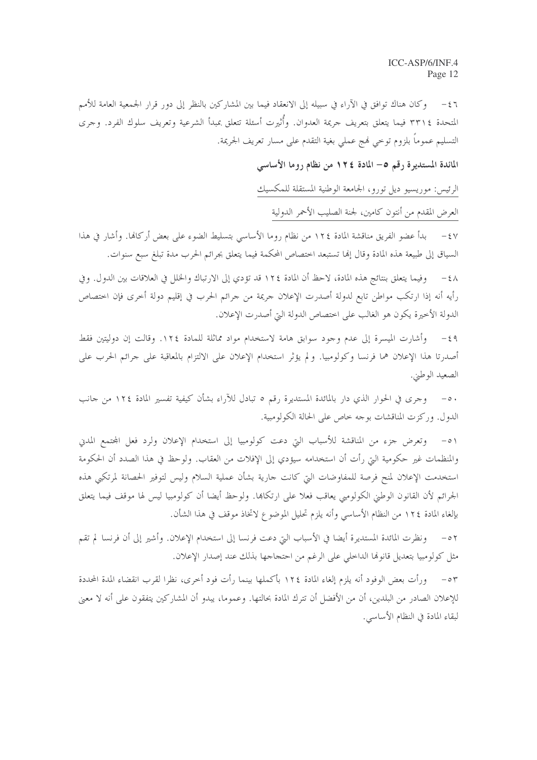٤٦ – وكان هناك توافق في الآراء في سبيله إلى الانعقاد فيما بين المشاركين بالنظر إلى دور قرار الجمعية العامة للأمم المتحدة ٣٣١٤ فيما يتعلق بتعريف جريمة العدوان. وأثيرت أسئلة تتعلق بمبدأ الشرعية وتعريف سلوك الفرد. وجرى التسليم عموماً بلزوم توحى نمج عملى بغية التقدم على مسار تعريف الجريمة.

## المائدة المستديرة رقم ٥– المادة ١٢٤ من نظام روما الأساسي

الرئيس: موريسيو ديل تورو، الجامعة الوطنية المستقلة للمكسيك

العرض المقدم من أنتون كامين، لجنة الصليب الأحمر الدولية

بدأ عضو الفريق مناقشة المادة ١٢٤ من نظام روما الأساسي بتسليط الضوء على بعض أركالها. وأشار في هذا  $-\xi$   $\vee$ السياق إلى طبيعة هذه المادة وقال إنها تستبعد اختصاص المحكمة فيما يتعلق بجرائم الحرب مدة تبلغ سبع سنوات.

٤٨ – وفيما يتعلق بنتائج هذه المادة، لاحظ أن المادة ١٢٤ قد تؤدي إلى الارتباك والخلل في العلاقات بين الدول. وفي رأيه أنه إذا ارتكب مواطن تابع لدولة أصدرت الإعلان جريمة من جرائم الحرب في إقليم دولة أخرى فإن اختصاص الدولة الأخيرة يكون هو الغالب على اختصاص الدولة التي أصدرت الإعلان.

٤٩ – وأشارت الميسرة إلى عدم وجود سوابق هامة لاستخدام مواد مماثلة للمادة ١٢٤. وقالت إن دوليتين فقط أصدرتا هذا الإعلان هما فرنسا وكولومبيا. ولم يؤثر استخدام الإعلان على الالتزام بالمعاقبة على جرائم الحرب على الصعيد الوطين.

٥٠ – وحرى في الحوار الذي دار بالمائدة المستديرة رقم ٥ تبادل للأراء بشأن كيفية تفسير المادة ١٢٤ من حانب الدول. وركزت المناقشات بوجه خاص على الحالة الكولومبية.

٥١- وتعرض جزء من المناقشة للأسباب التي دعت كولومبيا إلى استخدام الإعلان ولرد فعل المجتمع المدني والمنظمات غير حكومية التي رأت أن استخدامه سيؤدي إلى الإفلات من العقاب. ولوحظ في هذا الصدد أن الحكومة استخدمت الإعلان لمنح فرصة للمفاوضات التي كانت حارية بشأن عملية السلام وليس لتوفير الحصانة لمرتكبي هذه الجرائم لأن القانون الوطني الكولومبي يعاقب فعلا على ارتكابما. ولوحظ أيضا أن كولومبيا ليس لها موقف فيما يتعلق بإلغاء المادة ١٢٤ من النظام الأساسي وأنه يلزم تحليل الموضوع لاتخاذ موقف في هذا الشأن.

ونظرت المائدة المستديرة أيضا في الأسباب التي دعت فرنسا إلى استخدام الإعلان. وأشير إلى أن فرنسا لم تقم  $-0<sup>1</sup>$ مثل كولومبيا بتعديل قانوفما الداخلي على الرغم من احتجاجها بذلك عند إصدار الإعلان.

٥٣ – ورأت بعض الوفود أنه يلزم إلغاء المادة ١٢٤ بأكملها بينما رأت فود أخرى، نظرا لقرب انقضاء المدة المحددة للإعلان الصادر من البلدين، أن من الأفضل أن تترك المادة بحالتها. وعموما، يبدو أن المشاركين يتفقون على أنه لا معين لبقاء المادة في النظام الأساسي.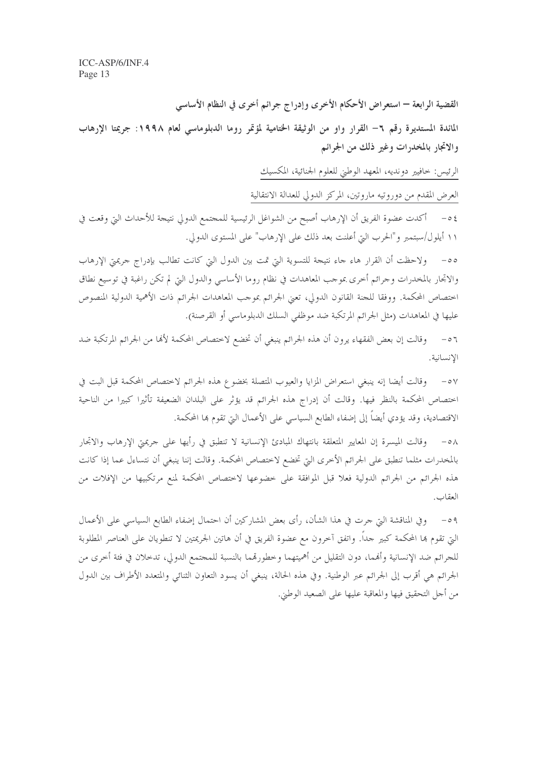القضية الرابعة – استعراض الأحكام الأخرى وإدراج جرائم أخرى في النظام الأساسي

المائدة المستديرة رقم ٦– القرار واو من الوثيقة الختامية لمؤتمر روما الدبلوماسي لعام ١٩٩٨: جريمتا الإرهاب والاتجار بالمخدرات وغير ذلك من الجرائم

الرئيس: خافيير دونديه، المعهد الوطني للعلوم الجنائية، المكسيك

العرض المقدم من دوروتيه ماروتين، المركز الدولي للعدالة الانتقالية

٤٥- أكدت عضوة الفريق أن الإرهاب أصبح من الشواغل الرئيسية للمحتمع الدولي نتيحة للأحداث التي وقعت في ١١ أيلول/سبتمبر و"الحرب التي أعلنت بعد ذلك على الإرهاب" على المستوى الدولي.

٥٥– ولاحظت أن القرار هاء حاء نتيجة للتسوية التي تمت بين الدول التي كانت تطالب بإدراج حريمتي الإرهاب والاتحار بالمخدرات وحرائم أخرى بموحب المعاهدات في نظام روما الأساسي والدول التي لم تكن راغبة في توسيع نطاق اختصاص المحكمة. ووفقا للجنة القانون الدولي، تعني الجرائم بموجب المعاهدات الجرائم ذات الأهمية الدولية المنصوص عليها في المعاهدات (مثل الجرائم المرتكبة ضد موظفي السلك الدبلوماسي أو القرصنة).

٥٦ – وقالت إن بعض الفقهاء يرون أن هذه الجرائم ينبغي أن تخضع لاختصاص المحكمة لألها من الجرائم المرتكبة ضد الإنسانية.

٥٧ – وقالت أيضا إنه ينبغي استعراض المزايا والعيوب المتصلة بخضوع هذه الجرائم لاختصاص المحكمة قبل البت في اختصاص المحكمة بالنظر فيها. وقالت أن إدراج هذه الجرائم قد يؤثر على البلدان الضعيفة تأثيرا كبيرا من الناحية الاقتصادية، وقد يؤدي أيضاً إلى إضفاء الطابع السياسي على الأعمال التي تقوم ها المحكمة.

٥٨ – وقالت الميسرة إن المعايير المتعلقة بانتهاك المبادئ الإنسانية لا تنطبق في رأيها على حريمتي الإرهاب والاتحار بالمخدرات مثلما تنطبق على الجرائم الأخرى التي تخضع لاختصاص المحكمة. وقالت إننا ينبغي أن نتساءل عما إذا كانت هذه الجرائم من الجرائم الدولية فعلا قبل الموافقة على خضوعها لاختصاص المحكمة لمنع مرتكبيها من الإفلات من العقاب.

٥٩- وفي المناقشة التي حرت في هذا الشأن، رأى بعض المشاركين أن احتمال إضفاء الطابع السياسي على الأعمال التي تقوم ها المحكمة كبير حداً. واتفق آخرون مع عضوة الفريق في أن هاتين الجريمتين لا تنطويان على العناصر المطلوبة للجرائم ضد الإنسانية وأفمما، دون التقليل من أهميتهما وخطورقمما بالنسبة للمجتمع الدولي، تدخلان في فئة أخرى من الجرائم هي أقرب إلى الجرائم عبر الوطنية. وفي هذه الحالة، ينبغي أن يسود التعاون الثنائي والمتعدد الأطراف بين الدول من أحل التحقيق فيها والمعاقبة عليها على الصعيد الوطين.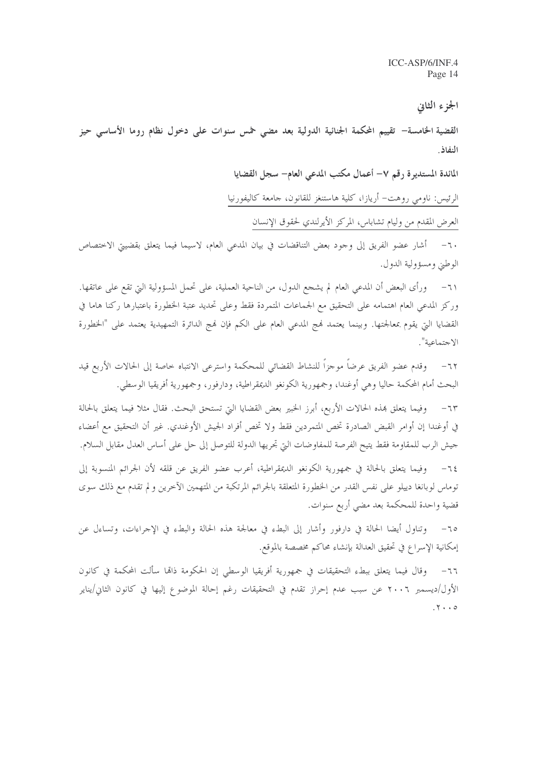الجزء الثانى

القضية الخامسة– تقييم المحكمة الجنائية الدولية بعد مضى حمس سنوات على دخول نظام روما الأساسى حيز النفاذ.

المائدة المستديرة رقم ٧– أعمال مكتب المدعى العام– سجل القضايا

الرئيس: ناومي روهت– أريازا، كلية هاستنغز للقانون، جامعة كاليفورنيا

العرض المقدم من وليام تشاباس، المركز الأيرلندي لحقوق الإنسان

٦٠ – أشار عضو الفريق إلى وجود بعض التناقضات في بيان المدعى العام، لاسيما فيما يتعلق بقضيتي الاختصاص الوطني ومسؤولية الدول.

٦١− ورأى البعض أن المدعى العام لم يشجع الدول، من الناحية العملية، على تحمل المسؤولية التي تقع على عاتقها. وركز المدعى العام اهتمامه على التحقيق مع الجماعات المتمردة فقط وعلى تحديد عتبة الخطورة باعتبارها ركنا هاما في القضايا التي يقوم بمعالجتها. وبينما يعتمد نمج المدعى العام على الكم فإن نمج الدائرة التمهيدية يعتمد على "الخطورة الاجتماعية".

٦٢– وقدم عضو الفريق عرضاً موحزاً للنشاط القضائي للمحكمة واسترعى الانتباه خاصة إلى الحالات الأربع قيد البحث أمام المحكمة حاليا وهي أوغندا، وجمهورية الكونغو الديمقراطية، ودارفور، وجمهورية أفريقيا الوسطى.

وفيما يتعلق بمذه الحالات الأربع، أبرز الخبير بعض القضايا التي تستحق البحث. فقال مثلا فيما يتعلق بالحالة  $-7r$ في أوغندا إن أوامر القبض الصادرة تخص المتمردين فقط ولا تخص أفراد الجيش الأوغندي. غير أن التحقيق مع أعضاء حيش الرب للمقاومة فقط يتيح الفرصة للمفاوضات التي تجريها الدولة للتوصل إلى حل على أساس العدل مقابل السلام. ٦٤– وفيما يتعلق بالحالة في جمهورية الكونغو الديمقراطية، أعرب عضو الفريق عن قلقه لأن الجرائم المنسوبة إلى توماس لوبانغا دييلو على نفس القدر من الخطورة المتعلقة بالجرائم المرتكبة من المتهمين الآخرين ولم تقدم مع ذلك سوى قضية واحدة للمحكمة بعد مضى أربع سنوات.

٦٥– وتناول أيضا الحالة في دارفور وأشار إلى البطء في معالجة هذه الحالة والبطء في الإجراءات، وتساءل عن إمكانية الإسراع في تحقيق العدالة بإنشاء محاكم مخصصة بالموقع.

وقال فيما يتعلق ببطء التحقيقات في جمهورية أفريقيا الوسطى إن الحكومة ذاتما سألت المحكمة في كانون  $-11$ الأول/ديسمبر ٢٠٠٦ عن سبب عدم إحراز تقدم في التحقيقات رغم إحالة الموضوع إليها في كانون الثاني/يناير  $.7 \cdot .0$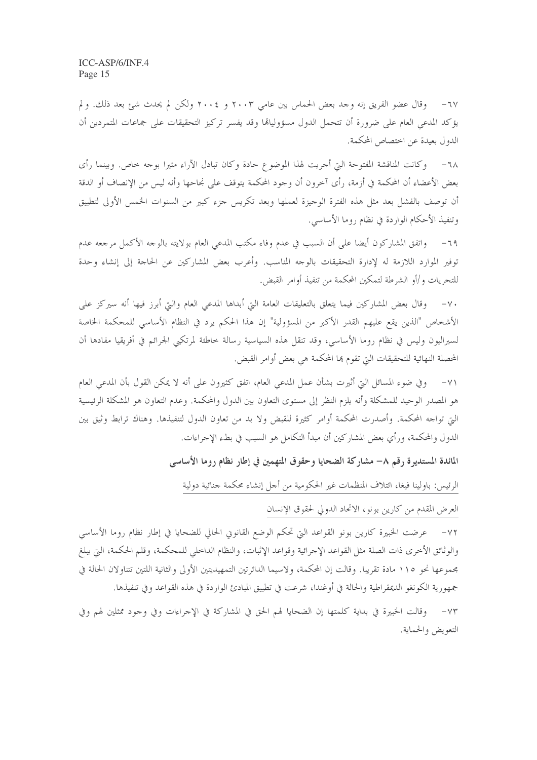٦٧– وقال عضو الفريق إنه وجد بعض الحماس بين عامي ٢٠٠٣ و ٢٠٠٤ ولكن لم يحدث شئ بعد ذلك. ولم يؤكد المدعى العام على ضرورة أن تتحمل الدول مسؤوليالها وقد يفسر تركيز التحقيقات على جماعات المتمردين أن الدول بعيدة عن اختصاص المحكمة.

٦٨− وكانت المناقشة المفتوحة التي أجريت لهذا الموضوع حادة وكان تبادل الآراء مثيرا بوجه خاص. وبينما رأى بعض الأعضاء أن المحكمة في أزمة، , أي آخرون أن وجود المحكمة يتوقف على نجاحها وأنه ليس من الإنصاف أو الدقة أن توصف بالفشل بعد مثل هذه الفترة الوجيزة لعملها وبعد تكريس جزء كبير من السنوات الخمس الأولى لتطبيق وتنفيذ الأحكام الواردة في نظام روما الأساسي.

٦٩– واتفق المشاركون أيضا على أن السبب في عدم وفاء مكتب المدعى العام بولايته بالوجه الأكمل مرجعه عدم توفير الموارد اللازمة له لإدارة التحقيقات بالوجه المناسب. وأعرب بعض المشاركين عن الحاجة إلى إنشاء وحدة للتحريات و/أو الشرطة لتمكين المحكمة من تنفيذ أوامر القبض.

٧٠– وقال بعض المشاركين فيما يتعلق بالتعليقات العامة التي أبداها المدعى العام والتي أبرز فيها أنه سيركز على الأشخاص "الذين يقع عليهم القدر الأكبر من المسؤولية" إن هذا الحكم يرد في النظام الأساسي للمحكمة الخاصة لسيراليون وليس في نظام روما الأساسي، وقد تنقل هذه السياسية رسالة خاطئة لمرتكبي الجرائم في أفريقيا مفادها أن المحصلة النهائية للتحقيقات التي تقوم بما المحكمة هي بعض أوامر القبض.

٧١– و في ضوء المسائل التي أثيرت بشأن عمل المدعى العام، اتفق كثيرون على أنه لا يمكن القول بأن المدعى العام هو المصدر الوحيد للمشكلة وأنه يلزم النظر إلى مستوى التعاون بين الدول والمحكمة. وعدم التعاون هو المشكلة الرئيسية التيّ تواجه المحكمة. وأصدرت المحكمة أوامر كثيرة للقبض ولا بد من تعاون الدول لتنفيذها. وهناك ترابط وثيق بين الدول والمحكمة، ورأي بعض المشاركين أن مبدأ التكامل هو السبب في بطء الإجراءات.

المائدة المستديرة رقم ٨– مشاركة الضحايا وحقوق المتهمين في إطار نظام روما الأساسي

الرئيس: باولينا فيغا، ائتلاف المنظمات غير الحكومية من أحل إنشاء محكمة حنائية دولية

العرض المقدم من كارين بونو، الاتحاد الدولي لحقوق الإنسان

عرضت الخبيرة كارين بونو القواعد التي تحكم الوضع القانوين الحالي للضحايا في إطار نظام روما الأساسي  $-\sqrt{7}$ والوثائق الأخرى ذات الصلة مثل القواعد الإجرائية وقواعد الإثبات، والنظام الداخلي للمحكمة، وقلم الحكمة، التي يبلغ مجموعها نحو ١١٥ مادة تقريبا. وقالت إن المحكمة، ولاسيما الدائرتين التمهيديتين الأولى والثانية اللتين تتناولان الحالة في جمهورية الكونغو الديمقراطية والحالة في أوغندا، شرعت في تطبيق المبادئ الواردة في هذه القواعد وفي تنفيذها.

٧٣- وقالت الخبيرة في بداية كلمتها إن الضحايا لهم الحق في المشاركة في الإجراءات وفي وجود ممثلين لهم وفي التعويض والحماية.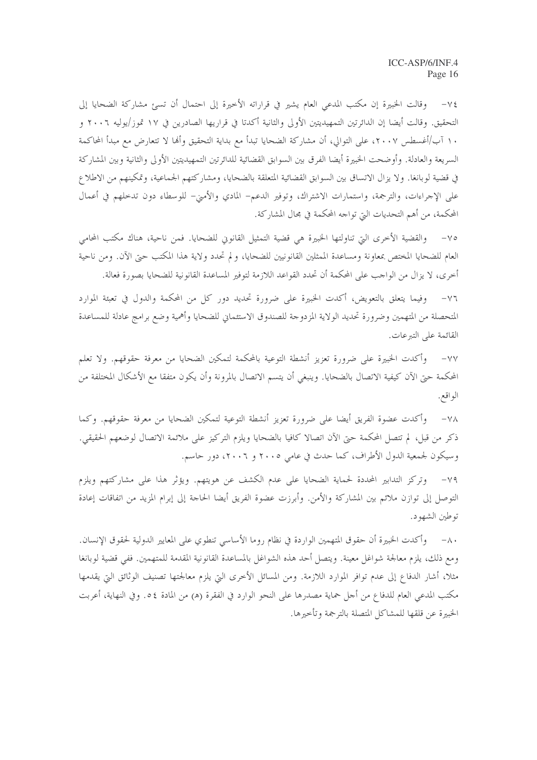٧٤- وقالت الخبيرة إن مكتب المدعى العام يشير في قراراته الأخيرة إلى احتمال أن تسبئ مشاركة الضحايا إلى التحقيق. وقالت أيضا إن الدائرتين التمهيديتين الأولى والثانية أكدتا في قراريها الصادرين في ١٧ تموز/يوليه ٢٠٠٦ و ١٠ آب/أغسطس ٢٠٠٧، على التوالي، أن مشاركة الضحايا تبدأ مع بداية التحقيق وألها لا تتعارض مع مبدأ المحاكمة السريعة والعادلة. وأوضحت الخبيرة أيضا الفرق بين السوابق القضائية للدائرتين التمهيديتين الأولى والثانية وبين المشاركة في قضية لوبانغا. ولا يزال الاتساق بين السوابق القضائية المتعلقة بالضحايا، ومشاركتهم الجماعية، وتمكينهم من الاطلاع على الإجراءات، والترجمة، واستمارات الاشتراك، وتوفير الدعم- المادي والأمنى- للوسطاء دون تدخلهم في أعمال المحكمة، من أهم التحديات التي تواجه المحكمة في مجال المشاركة.

٧٥– والقضية الأخرى التي تناولتها الخبيرة هي قضية التمثيل القانوين للضحايا. فمن ناحية، هناك مكتب المحامي العام للضحايا المختص بمعاونة ومساعدة الممثلين القانونيين للضحايا، ولم تحدد ولاية هذا المكتب حتى الآن. ومن ناحية أخرى، لا يزال من الواحب على المحكمة أن تحدد القواعد اللازمة لتوفير المساعدة القانونية للضحايا بصورة فعالة.

٧٦– وفيما يتعلق بالتعويض، أكدت الحبيرة على ضرورة تحديد دور كل من المحكمة والدول في تعبئة الموارد المتحصلة من المتهمين وضرورة تحديد الولاية المزدوجة للصندوق الاستئماني للضحايا وأهمية وضع برامج عادلة للمساعدة القائمة على التبرعات.

٧٧– وأكدت الخبيرة على ضرورة تعزيز أنشطة التوعية بالمحكمة لتمكين الضحايا من معرفة حقوقهم. ولا تعلم المحكمة حتى الآن كيفية الاتصال بالضحايا. وينبغي أن يتسم الاتصال بالمرونة وأن يكون متفقا مع الأشكال المختلفة من الواقع.

٧٨ – وأكدت عضوة الفريق أيضا على ضرورة تعزيز أنشطة التوعية لتمكين الضحايا من معرفة حقوقهم. وكما ذكر من قبل، لم تتصل المحكمة حتى الآن اتصالا كافيا بالضحايا ويلزم التركيز على ملائمة الاتصال لوضعهم الحقيقى. وسيكون لجمعية الدول الأطراف، كما حدث في عامي ٢٠٠٥ و ٢٠٠٦، دور حاسم.

٧٩– وتركز التدابير المحددة لحماية الضحايا على عدم الكشف عن هويتهم. ويؤثر هذا على مشاركتهم ويلزم التوصل إلى توازن ملائم بين المشاركة والأمن. وأبرزت عضوة الفريق أيضا الحاحة إلى إبرام المزيد من اتفاقات إعادة توطين الشهود.

٨٠ – وأكدت الخبيرة أن حقوق المتهمين الواردة في نظام روما الأساسي تنطوي على المعايير الدولية لحقوق الإنسان. ومع ذلك، يلزم معالجة شواغل معينة. ويتصل أحد هذه الشواغل بالمساعدة القانونية المقدمة للمتهمين. ففي قضية لوبانغا مثلا، أشار الدفاع إلى عدم توافر الموارد اللازمة. ومن المسائل الأخرى التي يلزم معالجتها تصنيف الوثائق التي يقدمها مكتب المدعى العام للدفاع من أجل حماية مصدرها على النحو الوارد في الفقرة (ﻫ) من المادة ٥٤. وفي النهاية، أعربت الخبيرة عن قلقها للمشاكل المتصلة بالترجمة وتأخيرها.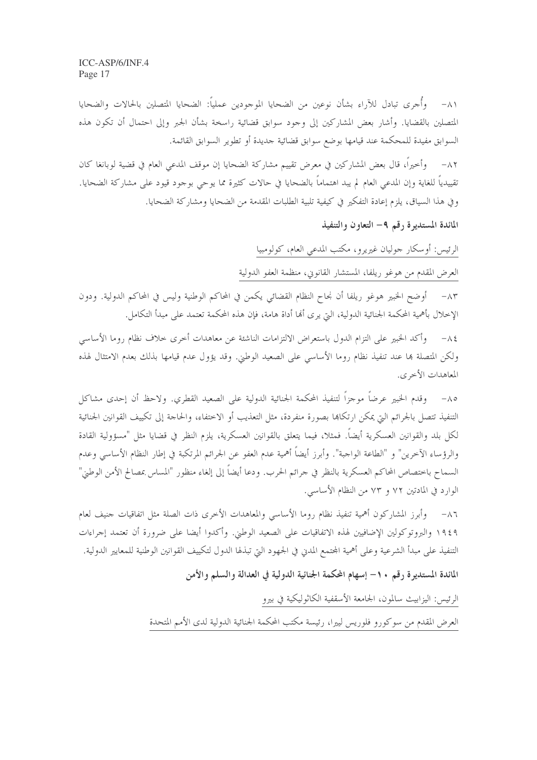٨١ – وأُجرى تبادل للآراء بشأن نوعين من الضحايا الموجودين عملياً: الضحايا المتصلين بالحالات والضحايا المتصلين بالقضايا. وأشار بعض المشاركين إلى وجود سوابق قضائية راسخة بشأن الجبر وإلى احتمال أن تكون هذه السوابق مفيدة للمحكمة عند قيامها بوضع سوابق قضائية حديدة أو تطوير السوابق القائمة.

٨٢– ﴿ وَأَخِيرَاً، قال بعض المشارِكين في معرض تقييم مشارِكة الضحايا إن موقف المدعى العام في قضية لوبانغا كان تقييدياً للغاية وإن المدعى العام لم يبد اهتماماً بالضحايا في حالات كثيرة مما يوحي بوجود قيود على مشاركة الضحايا. وفي هذا السياق، يلزم إعادة التفكير في كيفية تلبية الطلبات المقدمة من الضحايا ومشاركة الضحايا.

## المائدة المستديرة رقم ٩- التعاون والتنفيذ

الرئيس: أوسكار حوليان غيريرو، مكتب المدعي العام، كولومبيا

العرض المقدم من هوغو ريلفا، المستشار القانويي، منظمة العفو الدولية

٨٣- أوضح الخبير هوغو ريلفا أن نجاح النظام القضائي يكمن في المحاكم الوطنية وليس في المحاكم الدولية. ودون الإخلال بأهمية المحكمة الجنائية الدولية، التي يرى ألها أداة هامة، فإن هذه المحكمة تعتمد على مبدأ التكامل.

٨٤– وأكد الخبير على التزام الدول باستعراض الالتزامات الناشئة عن معاهدات أخرى خلاف نظام روما الأساسي ولكن المتصلة ها عند تنفيذ نظام روما الأساسي على الصعيد الوطني. وقد يؤول عدم قيامها بذلك بعدم الامتثال لهذه المعاهدات الأخرى.

٨٥– وقدم الخبير عرضاً موحزاً لتنفيذ المحكمة الجنائية الدولية على الصعيد القطري. ولاحظ أن إحدى مشاكل التنفيذ تتصل بالجرائم التي يمكن ارتكاها بصورة منفردة، مثل التعذيب أو الاختفاء، والحاجة إلى تكييف القوانين الجنائية لكل بلد والقوانين العسكرية أيضاً. فمثلا، فيما يتعلق بالقوانين العسكرية، يلزم النظر في قضايا مثل "مسؤولية القادة والرؤساء الآخرين" و "الطاعة الواجبة". وأبرز أيضاً أهمية عدم العفو عن الجرائم المرتكبة في إطار النظام الأساسي وعدم السماح باختصاص المحاكم العسكرية بالنظر في حرائم الحرب. ودعا أيضاً إلى إلغاء منظور "المساس بمصالح الأمن الوطني" الوارد في المادتين ٧٢ و ٧٣ من النظام الأساسي.

٨٦– وأبرز المشاركون أهمية تنفيذ نظام روما الأساسي والمعاهدات الأخرى ذات الصلة مثل اتفاقيات جنيف لعام ١٩٤٩ والبروتوكولين الإضافيين لهذه الاتفاقيات على الصعيد الوطني. وأكدوا أيضا على ضرورة أن تعتمد إجراءات التنفيذ على مبدأ الشرعية وعلى أهمية المحتمع المدني في الجهود التي تبذلها الدول لتكييف القوانين الوطنية للمعايير الدولية.

المائدة المستدير ة رقم ١٠- إسهام المحكمة الجنائية الدولية في العدالة والسلم والأمن

الرئيس: اليزابيث سالمون، الجامعة الأسقفية الكاثوليكية في بيرو

العرض المقدم من سوكورو فلوريس لييرا، رئيسة مكتب المحكمة الجنائية الدولية لدى الأمم المتحدة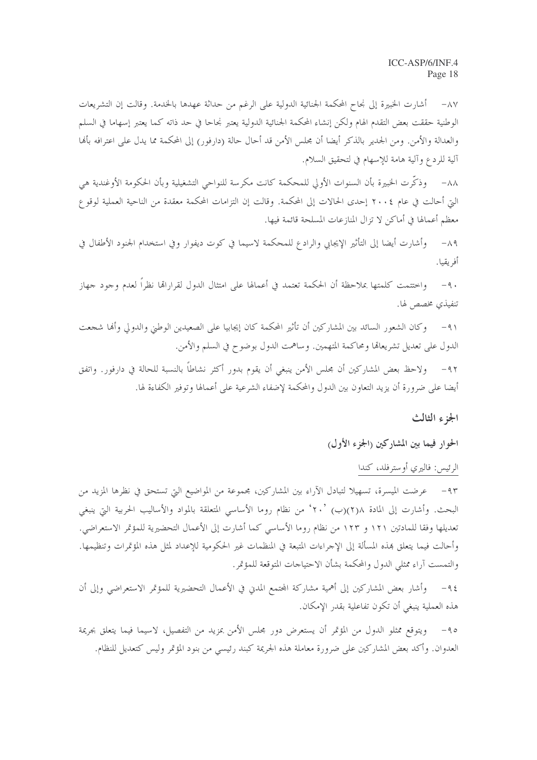٨٧ – أشارت الخبيرة إلى نجاح المحكمة الجنائية الدولية على الرغم من حداثة عهدها بالخدمة. وقالت إن التشريعات الوطنية حققت بعض التقدم الهام ولكن إنشاء المحكمة الجنائية الدولية يعتبر نجاحا في حد ذاته كما يعتبر إسهاما في السلم والعدالة والأمن. ومن الجدير بالذكر أيضا أن مجلس الأمن قد أحال حالة (دارفور) إلى المحكمة مما يدل على اعترافه بألها آلية للردع وآلية هامة للإسهام في لتحقيق السلام.

٨٨ – وذكَّرت الخبيرة بأن السنوات الأولى للمحكمة كانت مكرسة للنواحي التشغيلية وبأن الحكومة الأوغندية هي التي أحالت في عام ٢٠٠٤ إحدى الحالات إلى المحكمة. وقالت إن التزامات المحكمة معقدة من الناحية العملية لوقو ع معظم أعمالها في أماكن لا تزال المنازعات المسلحة قائمة فيها.

٨٩- وأشارت أيضا إلى التأثير الإيجابي والرادع للمحكمة لاسيما في كوت ديفوار وفي استخدام الجنود الأطفال في أفر يقيا.

٩٠- واختتمت كلمتها بملاحظة أن الحكمة تعتمد في أعمالها على امتثال الدول لقرارالها نظراً لعدم وحود حهاز تنفيذي مخصص لها.

٩١- وكان الشعور السائد بين المشاركين أن تأثير المحكمة كان إيجابيا على الصعيدين الوطني والدولي وألها شجعت الدول على تعديل تشريعاها ومحاكمة المتهمين. وساهمت الدول بوضوح في السلم والأمن.

٩٢– ولاحظ بعض المشاركين أن مجلس الأمن ينبغي أن يقوم بدور أكثر نشاطاً بالنسبة للحالة في دارفور. واتفق أيضا على ضرورة أن يزيد التعاون بين الدول والمحكمة لإضفاء الشرعية على أعمالها وتوفير الكفاءة لها.

#### الجزء الثالث

الحوار فيما بين المشاركين (الجزء الأول)

الرئيس: فاليري أوسترفلد، كندا

٩٣– عرضت الميسرة، تسهيلا لتبادل الآراء بين المشاركين، مجموعة من المواضيع التي تستحق في نظرها المزيد من البحث. وأشارت إلى المادة ٢٠/(ب) ٢٠٬ من نظام روما الأساسي المتعلقة بالمواد والأساليب الحربية التي ينبغي تعديلها وفقا للمادتين ١٢١ و ١٢٣ من نظام روما الأساسي كما أشارت إلى الأعمال التحضيرية للمؤتمر الاستعراضي. وأحالت فيما يتعلق بمذه المسألة إلى الإحراءات المتبعة في المنظمات غير الحكومية للإعداد لمثل هذه المؤتمرات وتنظيمها. والتمست آراء ممثلي الدول والمحكمة بشأن الاحتياجات المتوقعة للمؤتمر.

٩٤– وأشار بعض المشاركين إلى أهمية مشاركة المحتمع المدني في الأعمال التحضيرية للمؤتمر الاستعراضي وإلى أن هذه العملية ينبغي أن تكون تفاعلية بقدر الإمكان.

٩٥- ويتوقع ممثلو الدول من المؤتمر أن يستعرض دور مجلس الأمن بمزيد من التفصيل، لاسيما فيما يتعلق بجريمة العدوان. وأكد بعض المشاركين على ضرورة معاملة هذه الجريمة كبند رئيسي من بنود المؤتمر وليس كتعديل للنظام.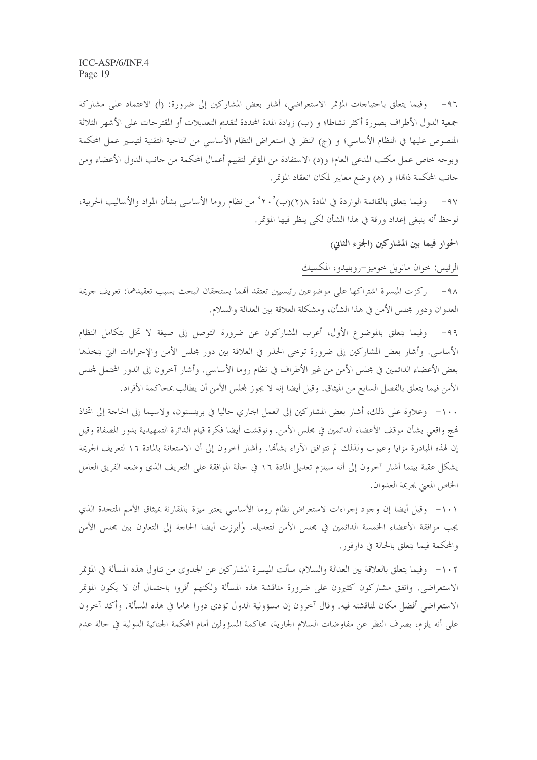٩٦- وفيما يتعلق باحتياجات المؤتمر الاستعراضي، أشار بعض المشاركين إلى ضرورة: (أ) الاعتماد على مشاركة جمعية الدول الأطراف بصورة أكثر نشاطا؛ و (ب) زيادة المدة المحددة لتقديم التعديلات أو المقترحات على الأشهر الثلاثة المنصوص عليها في النظام الأساسي؛ و (ج) النظر في استعراض النظام الأساسي من الناحية التقنية لتيسير عمل المحكمة وبوجه خاص عمل مكتب المدعى العام؛ و(د) الاستفادة من المؤتمر لتقييم أعمال المحكمة من جانب الدول الأعضاء ومن جانب المحكمة ذاتما؛ و (هـ) وضع معايير لمكان انعقاد المؤتمر.

٩٧- وفيما يتعلق بالقائمة الواردة في المادة ٢٠/(٦)(ب(٢٠، من نظام روما الأساسي بشأن المواد والأساليب الحربية، لوحظ أنه ينبغي إعداد ورقة في هذا الشأن لكي ينظر فيها المؤتمر.

الحوار فيما بين المشاركين (الجزء الثاني)

الرئيس: خوان مانويل خوميز-روبليدو، المكسيك

٩٨ - ركزت الميسرة اشتراكها على موضوعين رئيسيين تعتقد ألهما يستحقان البحث بسبب تعقيدهما: تعريف جريمة العدوان ودور مجلس الأمن في هذا الشأن، ومشكلة العلاقة بين العدالة والسلام.

٩٩- وفيما يتعلق بالموضوع الأول، أعرب المشاركون عن ضرورة التوصل إلى صيغة لا تخل بتكامل النظام الأساسي. وأشار بعض المشاركين إلى ضرورة توحي الحذر في العلاقة بين دور مجلس الأمن والإجراءات التي يتخذها بعض الأعضاء الدائمين في مجلس الأمن من غير الأطراف في نظام روما الأساسي. وأشار آخرون إلى الدور المحتمل لمحلس الأمن فيما يتعلق بالفصل السابع من الميثاق. وقيل أيضا إنه لا يجوز لمحلس الأمن أن يطالب بمحاكمة الأفراد.

١٠٠ - وعلاوة على ذلك، أشار بعض المشاركين إلى العمل الجاري حاليا في برينستون، ولاسيما إلى الحاجة إلى اتخاذ هج واقعي بشأن موقف الأعضاء الدائمين في مجلس الأمن. ونوقشت أيضا فكرة قيام الدائرة التمهيدية بدور المصفاة وقيل إن لهذه المبادرة مزايا وعيوب ولذلك لم تتوافق الآراء بشألها. وأشار آخرون إلى أن الاستعانة بالمادة ١٦ لتعريف الجريمة يشكل عقبة بينما أشار آخرون إلى أنه سيلزم تعديل المادة ١٦ في حالة الموافقة على التعريف الذي وضعه الفريق العامل الخاص المعنى بحريمة العدوان.

١٠١- وقيل أيضا إن وجود إجراءات لاستعراض نظام روما الأساسي يعتبر ميزة بالمقارنة بميثاق الأمم المتحدة الذي يجب موافقة الأعضاء الخمسة الدائمين في مجلس الأمن لتعديله. وُأبرزت أيضا الحاجة إلى التعاون بين مجلس الأمن والمحكمة فيما يتعلق بالحالة في دارفور.

١٠٢ - وفيما يتعلق بالعلاقة بين العدالة والسلام، سألت الميسرة المشاركين عن الجدوى من تناول هذه المسألة في المؤتمر الاستعراضي. واتفق مشاركون كثيرون على ضرورة مناقشة هذه المسألة ولكنهم أقروا باحتمال أن لا يكون المؤتمر الاستعراضي أفضل مكان لمناقشته فيه. وقال آخرون إن مسؤولية الدول تؤدي دورا هاما في هذه المسألة. وأكد آخرون على أنه يلزم، بصرف النظر عن مفاوضات السلام الجارية، محاكمة المسؤولين أمام المحكمة الجنائية الدولية في حالة عدم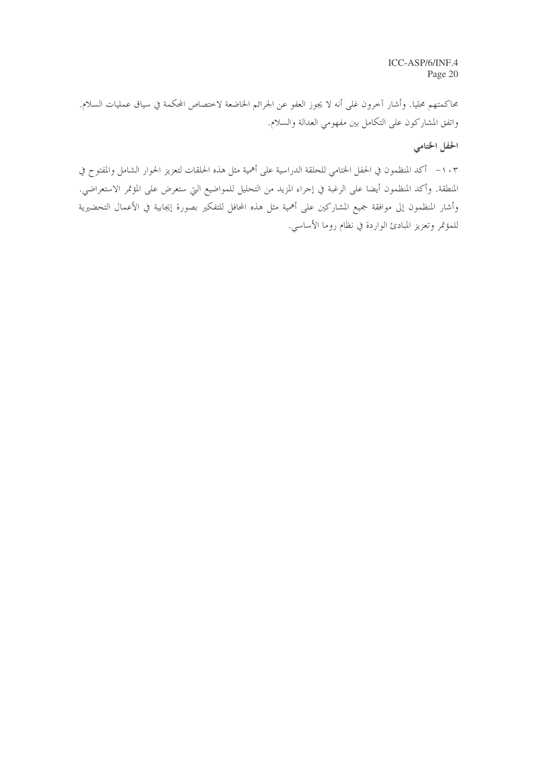محاكمتهم محليا. وأشار آخرون غلي أنه لا يجوز العفو عن الجرائم الخاضعة لاختصاص المحكمة في سياق عمليات السلام. واتفق المشاركون على التكامل بين مفهومي العدالة والسلام.

## الحفل الختامى

١٠٣ – أكد المنظمون في الحفل الحتامي للحلقة الدراسية على أهمية مثل هذه الحلقات لتعزيز الحوار الشامل والمفتوح في المنطقة. وأكد المنظمون أيضا على الرغبة في إجراء المزيد من التحليل للمواضيع التي ستعرض على المؤتمر الاستعراضي. وأشار المنظمون إلى موافقة جميع المشاركين على أهمية مثل هذه المحافل للتفكير بصورة إيجابية في الأعمال التحضيرية للمؤتمر وتعزيز المبادئ الواردة في نظام روما الأساسي.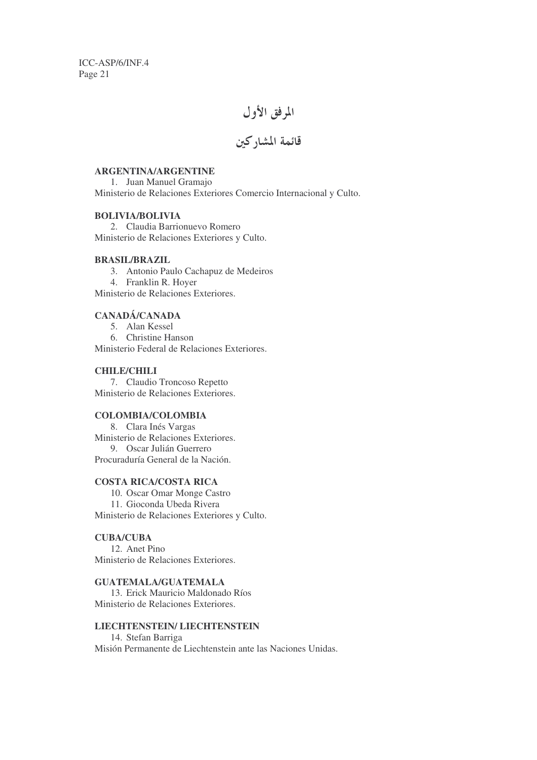المرفق الأول

# قائمة المشاركين

#### **ARGENTINA/ARGENTINE**

1. Juan Manuel Gramajo Ministerio de Relaciones Exteriores Comercio Internacional y Culto.

#### **BOLIVIA/BOLIVIA**

2. Claudia Barrionuevo Romero Ministerio de Relaciones Exteriores y Culto.

#### **BRASIL/BRAZIL**

3. Antonio Paulo Cachapuz de Medeiros

4. Franklin R. Hoyer

Ministerio de Relaciones Exteriores.

### **CANADÁ/CANADA**

5. Alan Kessel 6. Christine Hanson Ministerio Federal de Relaciones Exteriores.

#### **CHILE/CHILI**

7. Claudio Troncoso Repetto Ministerio de Relaciones Exteriores.

#### **COLOMBIA/COLOMBIA**

8. Clara Inés Vargas Ministerio de Relaciones Exteriores. 9. Oscar Julián Guerrero Procuraduría General de la Nación.

#### **COSTA RICA/COSTA RICA**

10. Oscar Omar Monge Castro 11. Gioconda Ubeda Rivera Ministerio de Relaciones Exteriores y Culto.

#### **CUBA/CUBA**

12. Anet Pino Ministerio de Relaciones Exteriores.

#### **GUATEMALA/GUATEMALA**

13. Erick Mauricio Maldonado Ríos Ministerio de Relaciones Exteriores.

#### **LIECHTENSTEIN/ LIECHTENSTEIN**

14. Stefan Barriga Misión Permanente de Liechtenstein ante las Naciones Unidas.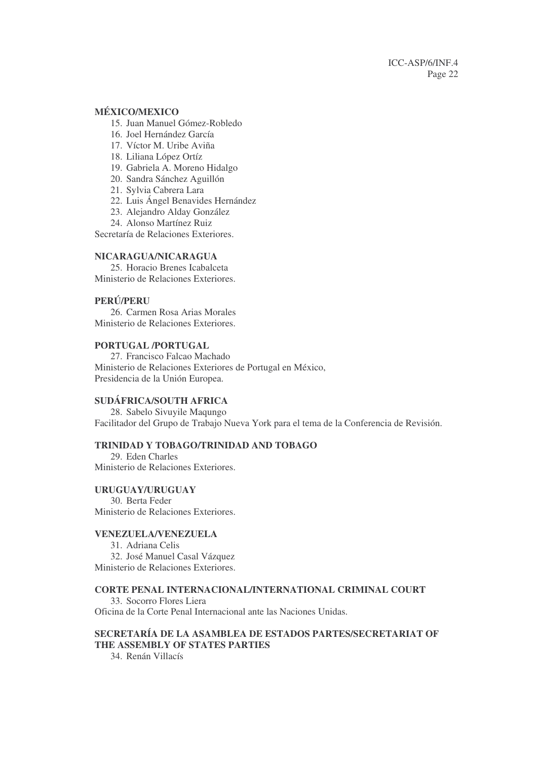#### **MÉXICO/MEXICO**

- 15. Juan Manuel Gómez-Robledo
- 16. Joel Hernández García
- 17. Víctor M. Uribe Aviña
- 18. Liliana López Ortíz
- 19. Gabriela A. Moreno Hidalgo
- 20. Sandra Sánchez Aguillón
- 21. Sylvia Cabrera Lara
- 22. Luis Ángel Benavides Hernández
- 23. Alejandro Alday González
- 24. Alonso Martínez Ruiz

Secretaría de Relaciones Exteriores.

#### **NICARAGUA/NICARAGUA**

25. Horacio Brenes Icabalceta Ministerio de Relaciones Exteriores.

#### **PERÚ/PERU**

26. Carmen Rosa Arias Morales Ministerio de Relaciones Exteriores.

#### **PORTUGAL /PORTUGAL**

27. Francisco Falcao Machado Ministerio de Relaciones Exteriores de Portugal en México, Presidencia de la Unión Europea.

#### **SUDÁFRICA/SOUTH AFRICA**

28. Sabelo Sivuyile Maqungo Facilitador del Grupo de Trabajo Nueva York para el tema de la Conferencia de Revisión.

#### **TRINIDAD Y TOBAGO/TRINIDAD AND TOBAGO**

29. Eden Charles Ministerio de Relaciones Exteriores.

#### **URUGUAY/URUGUAY**

30. Berta Feder Ministerio de Relaciones Exteriores.

#### **VENEZUELA/VENEZUELA**

31. Adriana Celis 32. José Manuel Casal Vázquez Ministerio de Relaciones Exteriores.

#### **CORTE PENAL INTERNACIONAL/INTERNATIONAL CRIMINAL COURT**

33. Socorro Flores Liera Oficina de la Corte Penal Internacional ante las Naciones Unidas.

#### **SECRETARÍA DE LA ASAMBLEA DE ESTADOS PARTES/SECRETARIAT OF THE ASSEMBLY OF STATES PARTIES**

34. Renán Villacís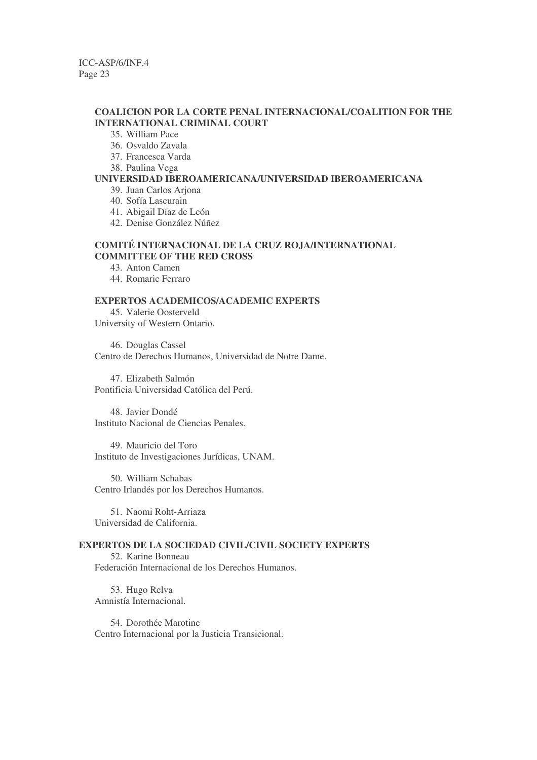#### **COALICION POR LA CORTE PENAL INTERNACIONAL/COALITION FOR THE INTERNATIONAL CRIMINAL COURT**

- 35. William Pace
- 36. Osvaldo Zavala
- 37. Francesca Varda
- 38. Paulina Vega

#### **UNIVERSIDAD IBEROAMERICANA/UNIVERSIDAD IBEROAMERICANA**

- 39. Juan Carlos Arjona
- 40. Sofía Lascurain

41. Abigail Díaz de León

42. Denise González Núñez

#### **COMITÉ INTERNACIONAL DE LA CRUZ ROJA/INTERNATIONAL COMMITTEE OF THE RED CROSS**

43. Anton Camen

44. Romaric Ferraro

#### **EXPERTOS ACADEMICOS/ACADEMIC EXPERTS**

45. Valerie Oosterveld University of Western Ontario.

46. Douglas Cassel Centro de Derechos Humanos, Universidad de Notre Dame.

47. Elizabeth Salmón Pontificia Universidad Católica del Perú.

48. Javier Dondé Instituto Nacional de Ciencias Penales.

49. Mauricio del Toro Instituto de Investigaciones Jurídicas, UNAM.

50. William Schabas Centro Irlandés por los Derechos Humanos.

51. Naomi Roht-Arriaza Universidad de California.

#### **EXPERTOS DE LA SOCIEDAD CIVIL/CIVIL SOCIETY EXPERTS**

52. Karine Bonneau Federación Internacional de los Derechos Humanos.

53. Hugo Relva Amnistía Internacional.

54. Dorothée Marotine Centro Internacional por la Justicia Transicional.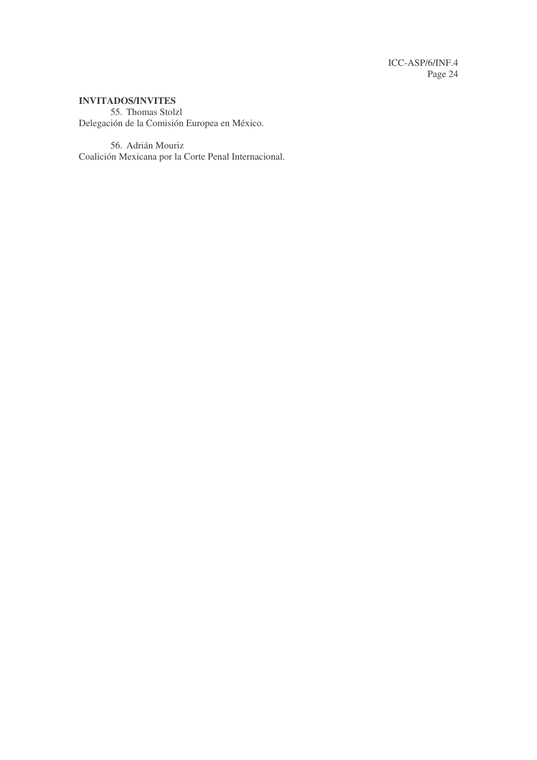## **INVITADOS/INVITES**

55. Thomas Stolzl Delegación de la Comisión Europea en México.

56. Adrián Mouriz Coalición Mexicana por la Corte Penal Internacional.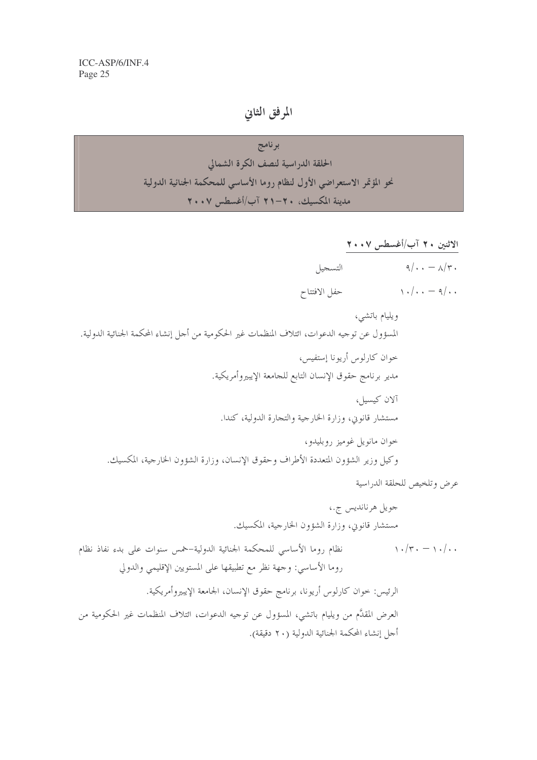المرفق الثاني

| برنامج                                                                   |
|--------------------------------------------------------------------------|
| الحلقة الدراسية لنصف الكرة الشمالي                                       |
| نحو المؤتمر الاستعراضي الأول لنظام روما الأساسي للمحكمة الجنائية الدولية |
| مدينة المكسيك، ٢٠-٢١ آب/أغسطس ٢٠٠٧                                       |

عرض وتلخيص للحلقة الدراسية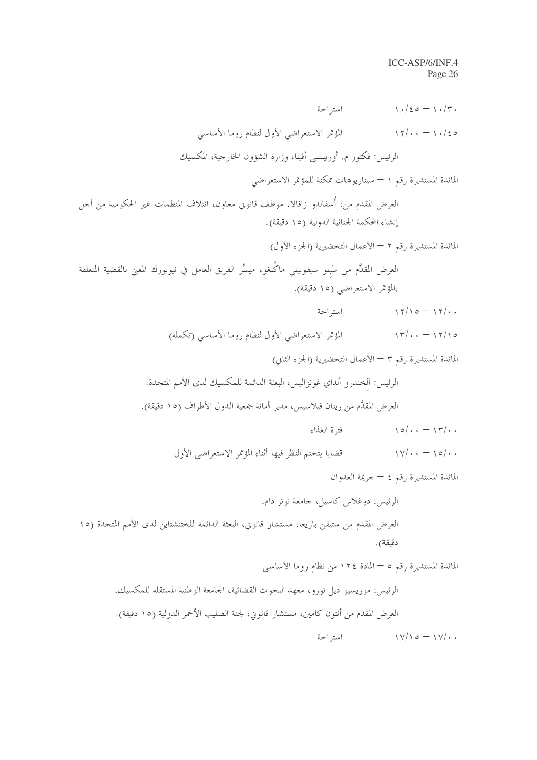من أجل

استراحة ۱۷/۱۰  $-\gamma/\sqrt{2}$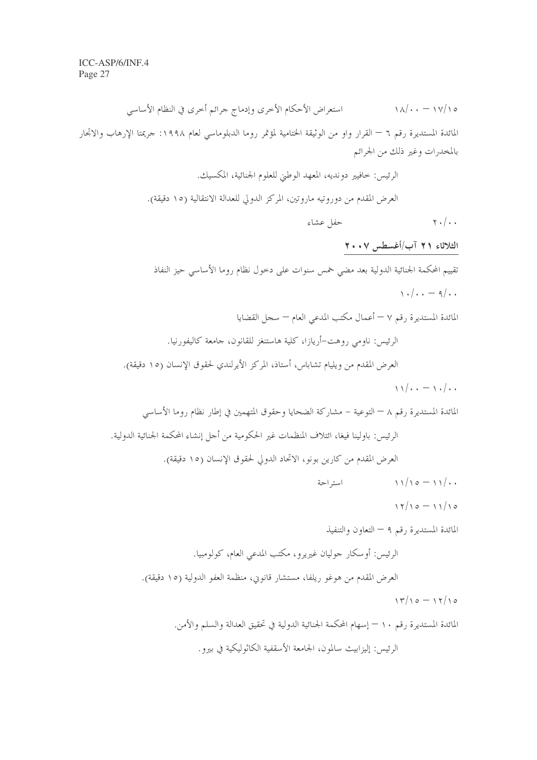المائدة المستديرة رقم ٦ — القرار واو من الوثيقة الختامية لمؤتمر روما الدبلوماسي لعام ١٩٩٨: جريمتا الإرهاب والاتحار بالمخدرات وغير ذلك من الجرائم

الثلاثاء ٢١ آب/أغسطس ٢٠٠٧

تقييم المحكمة الجنائية الدولية بعد مضى خمس سنوات على دحول نظام روما الأساسى حيز النفاذ  $\langle \cdot | \cdot \cdot - q | \cdot \cdot \cdot$ 

المائدة المستديرة رقم v − أعمال مكتب المدعى العام − سجل القضايا

$$
\chi_1/\chi_2\chi_3=\chi_1/\chi_2
$$

۱۲/۱۵ — ۱۲/۱۵<br>المائدة المستدد ة ، قم ۹ — التعاون والتنفيذ

 $17/10 - 17/10$